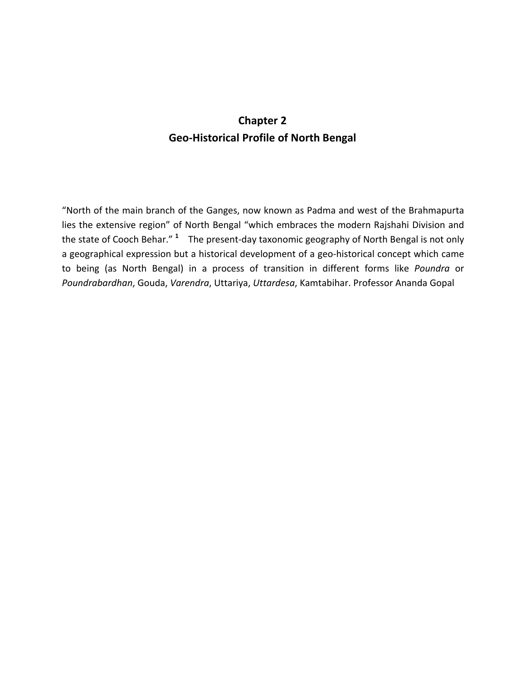# **Chapter 2 Geo-Historical Profile of North Bengal**

"North of the main branch of the Ganges, now known as Padma and west of the Brahmapurta lies the extensive region" of North Bengal "which embraces the modern Rajshahi Division and the state of Cooch Behar." <sup>1</sup> The present-day taxonomic geography of North Bengal is not only a geographical expression but a historical development of a geo-historical concept which came to being (as North Bengal) in a process of transition in different forms like *Poundra* or *Poundrabardhan*, Gouda, *Varendra*, Uttariya, *Uttardesa*, Kamtabihar. Professor Ananda Gopal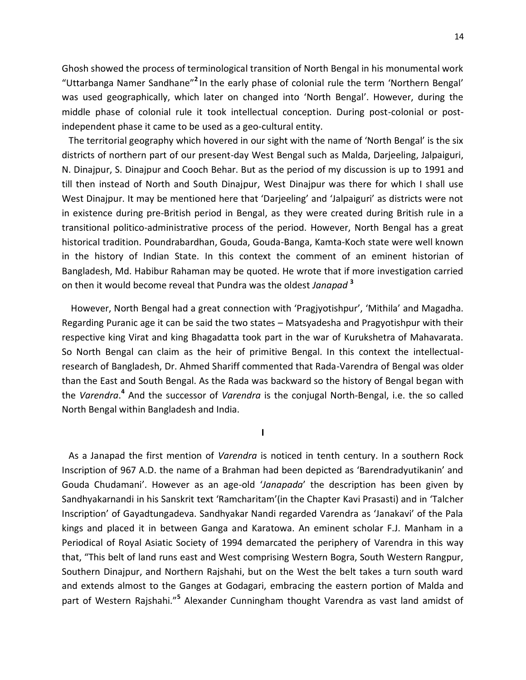Ghosh showed the process of terminological transition of North Bengal in his monumental work "Uttarbanga Namer Sandhane"**<sup>2</sup>**In the early phase of colonial rule the term 'Northern Bengal' was used geographically, which later on changed into 'North Bengal'. However, during the middle phase of colonial rule it took intellectual conception. During post-colonial or postindependent phase it came to be used as a geo-cultural entity.

 The territorial geography which hovered in our sight with the name of 'North Bengal' is the six districts of northern part of our present-day West Bengal such as Malda, Darjeeling, Jalpaiguri, N. Dinajpur, S. Dinajpur and Cooch Behar. But as the period of my discussion is up to 1991 and till then instead of North and South Dinajpur, West Dinajpur was there for which I shall use West Dinajpur. It may be mentioned here that 'Darjeeling' and 'Jalpaiguri' as districts were not in existence during pre-British period in Bengal, as they were created during British rule in a transitional politico-administrative process of the period. However, North Bengal has a great historical tradition. Poundrabardhan, Gouda, Gouda-Banga, Kamta-Koch state were well known in the history of Indian State. In this context the comment of an eminent historian of Bangladesh, Md. Habibur Rahaman may be quoted. He wrote that if more investigation carried on then it would become reveal that Pundra was the oldest *Janapad* **<sup>3</sup>**

 However, North Bengal had a great connection with 'Pragjyotishpur', 'Mithila' and Magadha. Regarding Puranic age it can be said the two states – Matsyadesha and Pragyotishpur with their respective king Virat and king Bhagadatta took part in the war of Kurukshetra of Mahavarata. So North Bengal can claim as the heir of primitive Bengal. In this context the intellectualresearch of Bangladesh, Dr. Ahmed Shariff commented that Rada-Varendra of Bengal was older than the East and South Bengal. As the Rada was backward so the history of Bengal began with the *Varendra*.<sup>4</sup> And the successor of *Varendra* is the conjugal North-Bengal, i.e. the so called North Bengal within Bangladesh and India.

**I** 

 As a Janapad the first mention of *Varendra* is noticed in tenth century. In a southern Rock Inscription of 967 A.D. the name of a Brahman had been depicted as 'Barendradyutikanin' and Gouda Chudamani'. However as an age-old '*Janapada*' the description has been given by Sandhyakarnandi in his Sanskrit text 'Ramcharitam'(in the Chapter Kavi Prasasti) and in 'Talcher Inscription' of Gayadtungadeva. Sandhyakar Nandi regarded Varendra as 'Janakavi' of the Pala kings and placed it in between Ganga and Karatowa. An eminent scholar F.J. Manham in a Periodical of Royal Asiatic Society of 1994 demarcated the periphery of Varendra in this way that, "This belt of land runs east and West comprising Western Bogra, South Western Rangpur, Southern Dinajpur, and Northern Rajshahi, but on the West the belt takes a turn south ward and extends almost to the Ganges at Godagari, embracing the eastern portion of Malda and part of Western Rajshahi."<sup>5</sup> Alexander Cunningham thought Varendra as vast land amidst of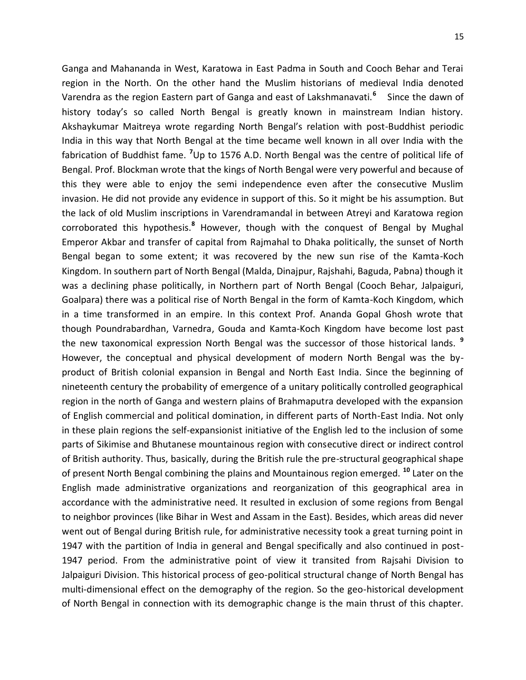Ganga and Mahananda in West, Karatowa in East Padma in South and Cooch Behar and Terai region in the North. On the other hand the Muslim historians of medieval India denoted Varendra as the region Eastern part of Ganga and east of Lakshmanavati.**<sup>6</sup>** Since the dawn of history today's so called North Bengal is greatly known in mainstream Indian history. Akshaykumar Maitreya wrote regarding North Bengal's relation with post-Buddhist periodic India in this way that North Bengal at the time became well known in all over India with the fabrication of Buddhist fame. **<sup>7</sup>**Up to 1576 A.D. North Bengal was the centre of political life of Bengal. Prof. Blockman wrote that the kings of North Bengal were very powerful and because of this they were able to enjoy the semi independence even after the consecutive Muslim invasion. He did not provide any evidence in support of this. So it might be his assumption. But the lack of old Muslim inscriptions in Varendramandal in between Atreyi and Karatowa region corroborated this hypothesis.<sup>8</sup> However, though with the conquest of Bengal by Mughal Emperor Akbar and transfer of capital from Rajmahal to Dhaka politically, the sunset of North Bengal began to some extent; it was recovered by the new sun rise of the Kamta-Koch Kingdom. In southern part of North Bengal (Malda, Dinajpur, Rajshahi, Baguda, Pabna) though it was a declining phase politically, in Northern part of North Bengal (Cooch Behar, Jalpaiguri, Goalpara) there was a political rise of North Bengal in the form of Kamta-Koch Kingdom, which in a time transformed in an empire. In this context Prof. Ananda Gopal Ghosh wrote that though Poundrabardhan, Varnedra, Gouda and Kamta-Koch Kingdom have become lost past the new taxonomical expression North Bengal was the successor of those historical lands. **<sup>9</sup>** However, the conceptual and physical development of modern North Bengal was the byproduct of British colonial expansion in Bengal and North East India. Since the beginning of nineteenth century the probability of emergence of a unitary politically controlled geographical region in the north of Ganga and western plains of Brahmaputra developed with the expansion of English commercial and political domination, in different parts of North-East India. Not only in these plain regions the self-expansionist initiative of the English led to the inclusion of some parts of Sikimise and Bhutanese mountainous region with consecutive direct or indirect control of British authority. Thus, basically, during the British rule the pre-structural geographical shape of present North Bengal combining the plains and Mountainous region emerged. **<sup>10</sup>** Later on the English made administrative organizations and reorganization of this geographical area in accordance with the administrative need. It resulted in exclusion of some regions from Bengal to neighbor provinces (like Bihar in West and Assam in the East). Besides, which areas did never went out of Bengal during British rule, for administrative necessity took a great turning point in 1947 with the partition of India in general and Bengal specifically and also continued in post-1947 period. From the administrative point of view it transited from Rajsahi Division to Jalpaiguri Division. This historical process of geo-political structural change of North Bengal has multi-dimensional effect on the demography of the region. So the geo-historical development of North Bengal in connection with its demographic change is the main thrust of this chapter.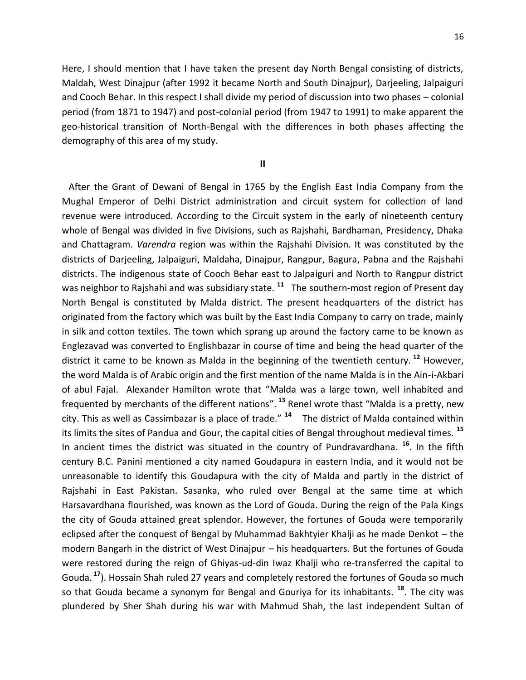Here, I should mention that I have taken the present day North Bengal consisting of districts, Maldah, West Dinajpur (after 1992 it became North and South Dinajpur), Darjeeling, Jalpaiguri and Cooch Behar. In this respect I shall divide my period of discussion into two phases – colonial period (from 1871 to 1947) and post-colonial period (from 1947 to 1991) to make apparent the geo-historical transition of North-Bengal with the differences in both phases affecting the demography of this area of my study.

**II**

 After the Grant of Dewani of Bengal in 1765 by the English East India Company from the Mughal Emperor of Delhi District administration and circuit system for collection of land revenue were introduced. According to the Circuit system in the early of nineteenth century whole of Bengal was divided in five Divisions, such as Rajshahi, Bardhaman, Presidency, Dhaka and Chattagram. *Varendra* region was within the Rajshahi Division. It was constituted by the districts of Darjeeling, Jalpaiguri, Maldaha, Dinajpur, Rangpur, Bagura, Pabna and the Rajshahi districts. The indigenous state of Cooch Behar east to Jalpaiguri and North to Rangpur district was neighbor to Rajshahi and was subsidiary state. **<sup>11</sup>** The southern-most region of Present day North Bengal is constituted by Malda district. The present headquarters of the district has originated from the factory which was built by the East India Company to carry on trade, mainly in silk and cotton textiles. The town which sprang up around the factory came to be known as Englezavad was converted to Englishbazar in course of time and being the head quarter of the district it came to be known as Malda in the beginning of the twentieth century. **<sup>12</sup>** However, the word Malda is of Arabic origin and the first mention of the name Malda is in the Ain-i-Akbari of abul Fajal. Alexander Hamilton wrote that "Malda was a large town, well inhabited and frequented by merchants of the different nations". **<sup>13</sup>** Renel wrote thast "Malda is a pretty, new city. This as well as Cassimbazar is a place of trade." **<sup>14</sup>** The district of Malda contained within its limits the sites of Pandua and Gour, the capital cities of Bengal throughout medieval times. **<sup>15</sup>** In ancient times the district was situated in the country of Pundravardhana. **<sup>16</sup>**. In the fifth century B.C. Panini mentioned a city named Goudapura in eastern India, and it would not be unreasonable to identify this Goudapura with the city of Malda and partly in the district of Rajshahi in East Pakistan. Sasanka, who ruled over Bengal at the same time at which Harsavardhana flourished, was known as the Lord of Gouda. During the reign of the Pala Kings the city of Gouda attained great splendor. However, the fortunes of Gouda were temporarily eclipsed after the conquest of Bengal by Muhammad Bakhtyier Khalji as he made Denkot – the modern Bangarh in the district of West Dinajpur – his headquarters. But the fortunes of Gouda were restored during the reign of Ghiyas-ud-din Iwaz Khalji who re-transferred the capital to Gouda. **<sup>17</sup>**). Hossain Shah ruled 27 years and completely restored the fortunes of Gouda so much so that Gouda became a synonym for Bengal and Gouriya for its inhabitants. **<sup>18</sup>**. The city was plundered by Sher Shah during his war with Mahmud Shah, the last independent Sultan of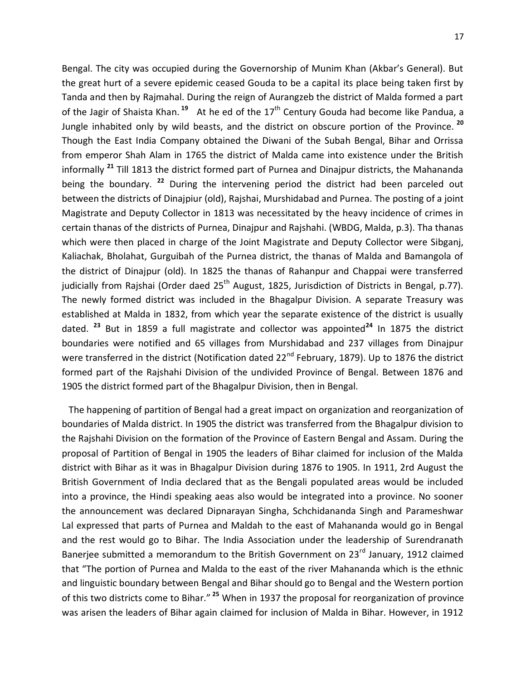Bengal. The city was occupied during the Governorship of Munim Khan (Akbar's General). But the great hurt of a severe epidemic ceased Gouda to be a capital its place being taken first by Tanda and then by Rajmahal. During the reign of Aurangzeb the district of Malda formed a part of the Jagir of Shaista Khan.<sup>19</sup> At he ed of the 17<sup>th</sup> Century Gouda had become like Pandua, a Jungle inhabited only by wild beasts, and the district on obscure portion of the Province. **<sup>20</sup>** Though the East India Company obtained the Diwani of the Subah Bengal, Bihar and Orrissa from emperor Shah Alam in 1765 the district of Malda came into existence under the British informally **<sup>21</sup>** Till 1813 the district formed part of Purnea and Dinajpur districts, the Mahananda being the boundary. **<sup>22</sup>** During the intervening period the district had been parceled out between the districts of Dinajpiur (old), Rajshai, Murshidabad and Purnea. The posting of a joint Magistrate and Deputy Collector in 1813 was necessitated by the heavy incidence of crimes in certain thanas of the districts of Purnea, Dinajpur and Rajshahi. (WBDG, Malda, p.3). Tha thanas which were then placed in charge of the Joint Magistrate and Deputy Collector were Sibganj, Kaliachak, Bholahat, Gurguibah of the Purnea district, the thanas of Malda and Bamangola of the district of Dinajpur (old). In 1825 the thanas of Rahanpur and Chappai were transferred judicially from Rajshai (Order daed  $25<sup>th</sup>$  August, 1825, Jurisdiction of Districts in Bengal, p.77). The newly formed district was included in the Bhagalpur Division. A separate Treasury was established at Malda in 1832, from which year the separate existence of the district is usually dated. **<sup>23</sup>** But in 1859 a full magistrate and collector was appointed**<sup>24</sup>** In 1875 the district boundaries were notified and 65 villages from Murshidabad and 237 villages from Dinajpur were transferred in the district (Notification dated 22<sup>nd</sup> February, 1879). Up to 1876 the district formed part of the Rajshahi Division of the undivided Province of Bengal. Between 1876 and 1905 the district formed part of the Bhagalpur Division, then in Bengal.

 The happening of partition of Bengal had a great impact on organization and reorganization of boundaries of Malda district. In 1905 the district was transferred from the Bhagalpur division to the Rajshahi Division on the formation of the Province of Eastern Bengal and Assam. During the proposal of Partition of Bengal in 1905 the leaders of Bihar claimed for inclusion of the Malda district with Bihar as it was in Bhagalpur Division during 1876 to 1905. In 1911, 2rd August the British Government of India declared that as the Bengali populated areas would be included into a province, the Hindi speaking aeas also would be integrated into a province. No sooner the announcement was declared Dipnarayan Singha, Schchidananda Singh and Parameshwar Lal expressed that parts of Purnea and Maldah to the east of Mahananda would go in Bengal and the rest would go to Bihar. The India Association under the leadership of Surendranath Banerjee submitted a memorandum to the British Government on 23<sup>rd</sup> January, 1912 claimed that "The portion of Purnea and Malda to the east of the river Mahananda which is the ethnic and linguistic boundary between Bengal and Bihar should go to Bengal and the Western portion of this two districts come to Bihar." **<sup>25</sup>** When in 1937 the proposal for reorganization of province was arisen the leaders of Bihar again claimed for inclusion of Malda in Bihar. However, in 1912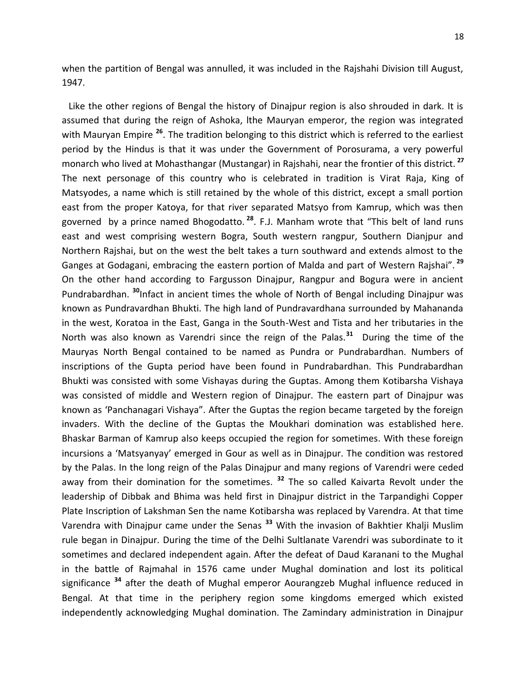when the partition of Bengal was annulled, it was included in the Rajshahi Division till August, 1947.

 Like the other regions of Bengal the history of Dinajpur region is also shrouded in dark. It is assumed that during the reign of Ashoka, lthe Mauryan emperor, the region was integrated with Mauryan Empire **<sup>26</sup>**. The tradition belonging to this district which is referred to the earliest period by the Hindus is that it was under the Government of Porosurama, a very powerful monarch who lived at Mohasthangar (Mustangar) in Rajshahi, near the frontier of this district. **<sup>27</sup>** The next personage of this country who is celebrated in tradition is Virat Raja, King of Matsyodes, a name which is still retained by the whole of this district, except a small portion east from the proper Katoya, for that river separated Matsyo from Kamrup, which was then governed by a prince named Bhogodatto. **<sup>28</sup>**. F.J. Manham wrote that "This belt of land runs east and west comprising western Bogra, South western rangpur, Southern Dianjpur and Northern Rajshai, but on the west the belt takes a turn southward and extends almost to the Ganges at Godagani, embracing the eastern portion of Malda and part of Western Rajshai". **<sup>29</sup>** On the other hand according to Fargusson Dinajpur, Rangpur and Bogura were in ancient Pundrabardhan. **<sup>30</sup>**Infact in ancient times the whole of North of Bengal including Dinajpur was known as Pundravardhan Bhukti. The high land of Pundravardhana surrounded by Mahananda in the west, Koratoa in the East, Ganga in the South-West and Tista and her tributaries in the North was also known as Varendri since the reign of the Palas.**<sup>31</sup>** During the time of the Mauryas North Bengal contained to be named as Pundra or Pundrabardhan. Numbers of inscriptions of the Gupta period have been found in Pundrabardhan. This Pundrabardhan Bhukti was consisted with some Vishayas during the Guptas. Among them Kotibarsha Vishaya was consisted of middle and Western region of Dinajpur. The eastern part of Dinajpur was known as 'Panchanagari Vishaya". After the Guptas the region became targeted by the foreign invaders. With the decline of the Guptas the Moukhari domination was established here. Bhaskar Barman of Kamrup also keeps occupied the region for sometimes. With these foreign incursions a 'Matsyanyay' emerged in Gour as well as in Dinajpur. The condition was restored by the Palas. In the long reign of the Palas Dinajpur and many regions of Varendri were ceded away from their domination for the sometimes. **<sup>32</sup>** The so called Kaivarta Revolt under the leadership of Dibbak and Bhima was held first in Dinajpur district in the Tarpandighi Copper Plate Inscription of Lakshman Sen the name Kotibarsha was replaced by Varendra. At that time Varendra with Dinajpur came under the Senas **<sup>33</sup>** With the invasion of Bakhtier Khalji Muslim rule began in Dinajpur. During the time of the Delhi Sultlanate Varendri was subordinate to it sometimes and declared independent again. After the defeat of Daud Karanani to the Mughal in the battle of Rajmahal in 1576 came under Mughal domination and lost its political significance **<sup>34</sup>** after the death of Mughal emperor Aourangzeb Mughal influence reduced in Bengal. At that time in the periphery region some kingdoms emerged which existed independently acknowledging Mughal domination. The Zamindary administration in Dinajpur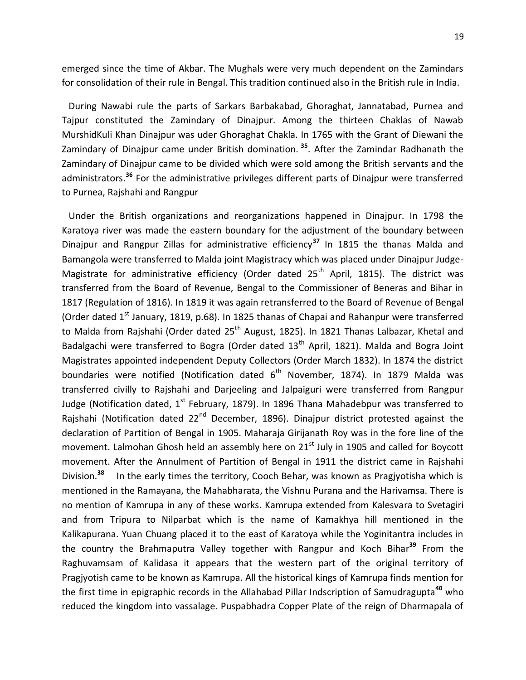emerged since the time of Akbar. The Mughals were very much dependent on the Zamindars for consolidation of their rule in Bengal. This tradition continued also in the British rule in India.

 During Nawabi rule the parts of Sarkars Barbakabad, Ghoraghat, Jannatabad, Purnea and Tajpur constituted the Zamindary of Dinajpur. Among the thirteen Chaklas of Nawab MurshidKuli Khan Dinajpur was uder Ghoraghat Chakla. In 1765 with the Grant of Diewani the Zamindary of Dinajpur came under British domination. **<sup>35</sup>**. After the Zamindar Radhanath the Zamindary of Dinajpur came to be divided which were sold among the British servants and the administrators.**<sup>36</sup>** For the administrative privileges different parts of Dinajpur were transferred to Purnea, Rajshahi and Rangpur

 Under the British organizations and reorganizations happened in Dinajpur. In 1798 the Karatoya river was made the eastern boundary for the adjustment of the boundary between Dinajpur and Rangpur Zillas for administrative efficiency**<sup>37</sup>** In 1815 the thanas Malda and Bamangola were transferred to Malda joint Magistracy which was placed under Dinajpur Judge-Magistrate for administrative efficiency (Order dated  $25<sup>th</sup>$  April, 1815). The district was transferred from the Board of Revenue, Bengal to the Commissioner of Beneras and Bihar in 1817 (Regulation of 1816). In 1819 it was again retransferred to the Board of Revenue of Bengal (Order dated  $1<sup>st</sup>$  January, 1819, p.68). In 1825 thanas of Chapai and Rahanpur were transferred to Malda from Rajshahi (Order dated 25<sup>th</sup> August, 1825). In 1821 Thanas Lalbazar, Khetal and Badalgachi were transferred to Bogra (Order dated 13<sup>th</sup> April, 1821). Malda and Bogra Joint Magistrates appointed independent Deputy Collectors (Order March 1832). In 1874 the district boundaries were notified (Notification dated  $6<sup>th</sup>$  November, 1874). In 1879 Malda was transferred civilly to Rajshahi and Darjeeling and Jalpaiguri were transferred from Rangpur Judge (Notification dated,  $1<sup>st</sup>$  February, 1879). In 1896 Thana Mahadebpur was transferred to Rajshahi (Notification dated  $22^{nd}$  December, 1896). Dinajpur district protested against the declaration of Partition of Bengal in 1905. Maharaja Girijanath Roy was in the fore line of the movement. Lalmohan Ghosh held an assembly here on  $21<sup>st</sup>$  July in 1905 and called for Boycott movement. After the Annulment of Partition of Bengal in 1911 the district came in Rajshahi Division.**<sup>38</sup>** In the early times the territory, Cooch Behar, was known as Pragjyotisha which is mentioned in the Ramayana, the Mahabharata, the Vishnu Purana and the Harivamsa. There is no mention of Kamrupa in any of these works. Kamrupa extended from Kalesvara to Svetagiri and from Tripura to Nilparbat which is the name of Kamakhya hill mentioned in the Kalikapurana. Yuan Chuang placed it to the east of Karatoya while the Yoginitantra includes in the country the Brahmaputra Valley together with Rangpur and Koch Bihar**<sup>39</sup>** From the Raghuvamsam of Kalidasa it appears that the western part of the original territory of Pragjyotish came to be known as Kamrupa. All the historical kings of Kamrupa finds mention for the first time in epigraphic records in the Allahabad Pillar Indscription of Samudragupta**<sup>40</sup>** who reduced the kingdom into vassalage. Puspabhadra Copper Plate of the reign of Dharmapala of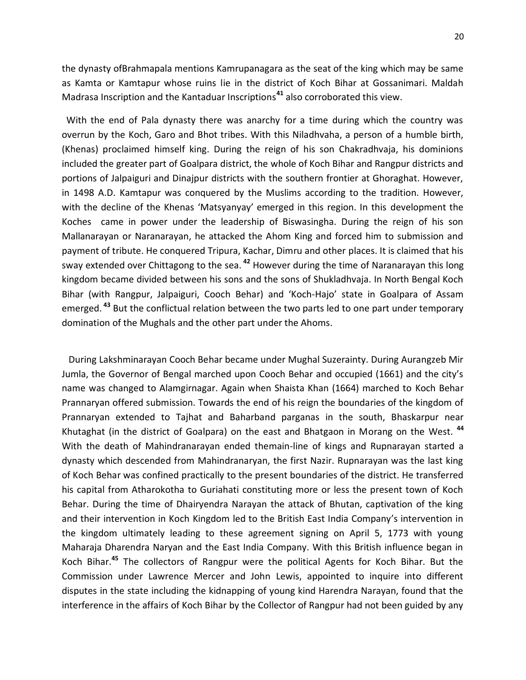the dynasty ofBrahmapala mentions Kamrupanagara as the seat of the king which may be same as Kamta or Kamtapur whose ruins lie in the district of Koch Bihar at Gossanimari. Maldah Madrasa Inscription and the Kantaduar Inscriptions**<sup>41</sup>** also corroborated this view.

 With the end of Pala dynasty there was anarchy for a time during which the country was overrun by the Koch, Garo and Bhot tribes. With this Niladhvaha, a person of a humble birth, (Khenas) proclaimed himself king. During the reign of his son Chakradhvaja, his dominions included the greater part of Goalpara district, the whole of Koch Bihar and Rangpur districts and portions of Jalpaiguri and Dinajpur districts with the southern frontier at Ghoraghat. However, in 1498 A.D. Kamtapur was conquered by the Muslims according to the tradition. However, with the decline of the Khenas 'Matsyanyay' emerged in this region. In this development the Koches came in power under the leadership of Biswasingha. During the reign of his son Mallanarayan or Naranarayan, he attacked the Ahom King and forced him to submission and payment of tribute. He conquered Tripura, Kachar, Dimru and other places. It is claimed that his sway extended over Chittagong to the sea. **<sup>42</sup>** However during the time of Naranarayan this long kingdom became divided between his sons and the sons of Shukladhvaja. In North Bengal Koch Bihar (with Rangpur, Jalpaiguri, Cooch Behar) and 'Koch-Hajo' state in Goalpara of Assam emerged. **<sup>43</sup>** But the conflictual relation between the two parts led to one part under temporary domination of the Mughals and the other part under the Ahoms.

 During Lakshminarayan Cooch Behar became under Mughal Suzerainty. During Aurangzeb Mir Jumla, the Governor of Bengal marched upon Cooch Behar and occupied (1661) and the city's name was changed to Alamgirnagar. Again when Shaista Khan (1664) marched to Koch Behar Prannaryan offered submission. Towards the end of his reign the boundaries of the kingdom of Prannaryan extended to Tajhat and Baharband parganas in the south, Bhaskarpur near Khutaghat (in the district of Goalpara) on the east and Bhatgaon in Morang on the West. **<sup>44</sup>** With the death of Mahindranarayan ended themain-line of kings and Rupnarayan started a dynasty which descended from Mahindranaryan, the first Nazir. Rupnarayan was the last king of Koch Behar was confined practically to the present boundaries of the district. He transferred his capital from Atharokotha to Guriahati constituting more or less the present town of Koch Behar. During the time of Dhairyendra Narayan the attack of Bhutan, captivation of the king and their intervention in Koch Kingdom led to the British East India Company's intervention in the kingdom ultimately leading to these agreement signing on April 5, 1773 with young Maharaja Dharendra Naryan and the East India Company. With this British influence began in Koch Bihar.**<sup>45</sup>** The collectors of Rangpur were the political Agents for Koch Bihar. But the Commission under Lawrence Mercer and John Lewis, appointed to inquire into different disputes in the state including the kidnapping of young kind Harendra Narayan, found that the interference in the affairs of Koch Bihar by the Collector of Rangpur had not been guided by any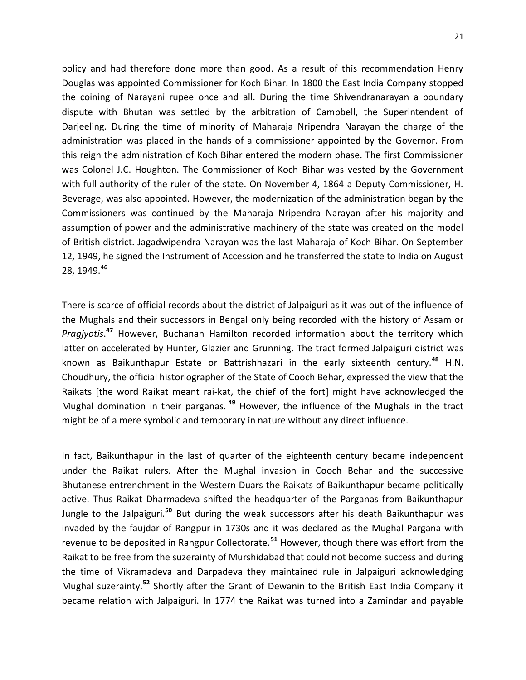policy and had therefore done more than good. As a result of this recommendation Henry Douglas was appointed Commissioner for Koch Bihar. In 1800 the East India Company stopped the coining of Narayani rupee once and all. During the time Shivendranarayan a boundary dispute with Bhutan was settled by the arbitration of Campbell, the Superintendent of Darjeeling. During the time of minority of Maharaja Nripendra Narayan the charge of the administration was placed in the hands of a commissioner appointed by the Governor. From this reign the administration of Koch Bihar entered the modern phase. The first Commissioner was Colonel J.C. Houghton. The Commissioner of Koch Bihar was vested by the Government with full authority of the ruler of the state. On November 4, 1864 a Deputy Commissioner, H. Beverage, was also appointed. However, the modernization of the administration began by the Commissioners was continued by the Maharaja Nripendra Narayan after his majority and assumption of power and the administrative machinery of the state was created on the model of British district. Jagadwipendra Narayan was the last Maharaja of Koch Bihar. On September 12, 1949, he signed the Instrument of Accession and he transferred the state to India on August 28, 1949.**<sup>46</sup>**

There is scarce of official records about the district of Jalpaiguri as it was out of the influence of the Mughals and their successors in Bengal only being recorded with the history of Assam or *Pragjyotis*. **<sup>47</sup>** However, Buchanan Hamilton recorded information about the territory which latter on accelerated by Hunter, Glazier and Grunning. The tract formed Jalpaiguri district was known as Baikunthapur Estate or Battrishhazari in the early sixteenth century.**<sup>48</sup>** H.N. Choudhury, the official historiographer of the State of Cooch Behar, expressed the view that the Raikats [the word Raikat meant rai-kat, the chief of the fort] might have acknowledged the Mughal domination in their parganas. **<sup>49</sup>** However, the influence of the Mughals in the tract might be of a mere symbolic and temporary in nature without any direct influence.

In fact, Baikunthapur in the last of quarter of the eighteenth century became independent under the Raikat rulers. After the Mughal invasion in Cooch Behar and the successive Bhutanese entrenchment in the Western Duars the Raikats of Baikunthapur became politically active. Thus Raikat Dharmadeva shifted the headquarter of the Parganas from Baikunthapur Jungle to the Jalpaiguri.**<sup>50</sup>** But during the weak successors after his death Baikunthapur was invaded by the faujdar of Rangpur in 1730s and it was declared as the Mughal Pargana with revenue to be deposited in Rangpur Collectorate.**<sup>51</sup>** However, though there was effort from the Raikat to be free from the suzerainty of Murshidabad that could not become success and during the time of Vikramadeva and Darpadeva they maintained rule in Jalpaiguri acknowledging Mughal suzerainty.**<sup>52</sup>** Shortly after the Grant of Dewanin to the British East India Company it became relation with Jalpaiguri. In 1774 the Raikat was turned into a Zamindar and payable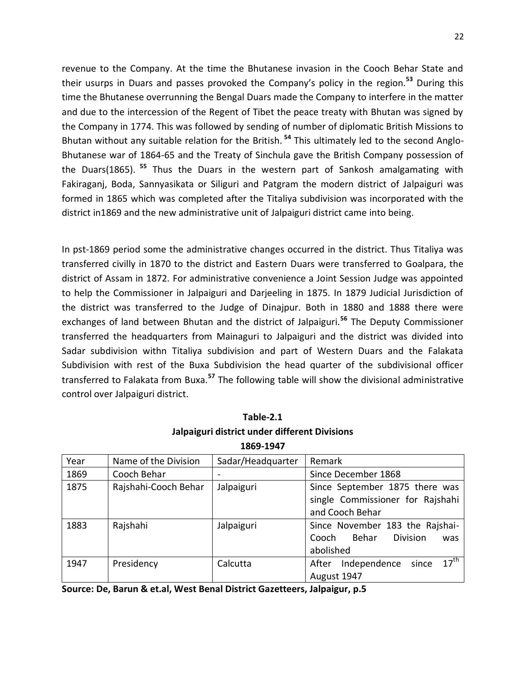revenue to the Company. At the time the Bhutanese invasion in the Cooch Behar State and their usurps in Duars and passes provoked the Company's policy in the region.**<sup>53</sup>** During this time the Bhutanese overrunning the Bengal Duars made the Company to interfere in the matter and due to the intercession of the Regent of Tibet the peace treaty with Bhutan was signed by the Company in 1774. This was followed by sending of number of diplomatic British Missions to Bhutan without any suitable relation for the British. **<sup>54</sup>** This ultimately led to the second Anglo-Bhutanese war of 1864-65 and the Treaty of Sinchula gave the British Company possession of the Duars(1865). **<sup>55</sup>** Thus the Duars in the western part of Sankosh amalgamating with Fakiraganj, Boda, Sannyasikata or Siliguri and Patgram the modern district of Jalpaiguri was formed in 1865 which was completed after the Titaliya subdivision was incorporated with the district in1869 and the new administrative unit of Jalpaiguri district came into being.

In pst-1869 period some the administrative changes occurred in the district. Thus Titaliya was transferred civilly in 1870 to the district and Eastern Duars were transferred to Goalpara, the district of Assam in 1872. For administrative convenience a Joint Session Judge was appointed to help the Commissioner in Jalpaiguri and Darjeeling in 1875. In 1879 Judicial Jurisdiction of the district was transferred to the Judge of Dinajpur. Both in 1880 and 1888 there were exchanges of land between Bhutan and the district of Jalpaiguri.**<sup>56</sup>** The Deputy Commissioner transferred the headquarters from Mainaguri to Jalpaiguri and the district was divided into Sadar subdivision withn Titaliya subdivision and part of Western Duars and the Falakata Subdivision with rest of the Buxa Subdivision the head quarter of the subdivisional officer transferred to Falakata from Buxa.**<sup>57</sup>** The following table will show the divisional administrative control over Jalpaiguri district.

| ----------- |                      |                   |                                                    |  |
|-------------|----------------------|-------------------|----------------------------------------------------|--|
| Year        | Name of the Division | Sadar/Headquarter | Remark                                             |  |
| 1869        | Cooch Behar          |                   | Since December 1868                                |  |
| 1875        | Rajshahi-Cooch Behar | Jalpaiguri        | Since September 1875 there was                     |  |
|             |                      |                   | single Commissioner for Rajshahi                   |  |
|             |                      |                   | and Cooch Behar                                    |  |
| 1883        | Rajshahi             | Jalpaiguri        | Since November 183 the Rajshai-                    |  |
|             |                      |                   | Behar<br>Division<br>Cooch<br>was                  |  |
|             |                      |                   | abolished                                          |  |
| 1947        | Presidency           | Calcutta          | $17^{\text{th}}$<br>Independence<br>since<br>After |  |
|             |                      |                   | August 1947                                        |  |

| Table-2.1                                     |
|-----------------------------------------------|
| Jalpaiguri district under different Divisions |
| 1960 1017                                     |

**Source: De, Barun & et.al, West Benal District Gazetteers, Jalpaigur, p.5**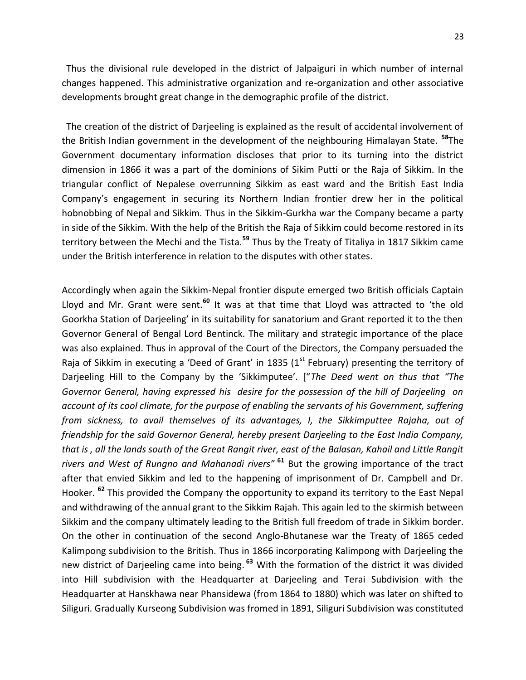Thus the divisional rule developed in the district of Jalpaiguri in which number of internal changes happened. This administrative organization and re-organization and other associative developments brought great change in the demographic profile of the district.

 The creation of the district of Darjeeling is explained as the result of accidental involvement of the British Indian government in the development of the neighbouring Himalayan State. **<sup>58</sup>**The Government documentary information discloses that prior to its turning into the district dimension in 1866 it was a part of the dominions of Sikim Putti or the Raja of Sikkim. In the triangular conflict of Nepalese overrunning Sikkim as east ward and the British East India Company's engagement in securing its Northern Indian frontier drew her in the political hobnobbing of Nepal and Sikkim. Thus in the Sikkim-Gurkha war the Company became a party in side of the Sikkim. With the help of the British the Raja of Sikkim could become restored in its territory between the Mechi and the Tista.**<sup>59</sup>** Thus by the Treaty of Titaliya in 1817 Sikkim came under the British interference in relation to the disputes with other states.

Accordingly when again the Sikkim-Nepal frontier dispute emerged two British officials Captain Lloyd and Mr. Grant were sent.**<sup>60</sup>** It was at that time that Lloyd was attracted to 'the old Goorkha Station of Darjeeling' in its suitability for sanatorium and Grant reported it to the then Governor General of Bengal Lord Bentinck. The military and strategic importance of the place was also explained. Thus in approval of the Court of the Directors, the Company persuaded the Raja of Sikkim in executing a 'Deed of Grant' in 1835 ( $1<sup>st</sup>$  February) presenting the territory of Darjeeling Hill to the Company by the 'Sikkimputee'. ["The Deed went on thus that "The *Governor General, having expressed his desire for the possession of the hill of Darjeeling on account of its cool climate, for the purpose of enabling the servants of his Government, suffering from sickness, to avail themselves of its advantages, I, the Sikkimputtee Rajaha, out of friendship for the said Governor General, hereby present Darjeeling to the East India Company, that is , all the lands south of the Great Rangit river, east of the Balasan, Kahail and Little Rangit rivers and West of Rungno and Mahanadi rivers*" **<sup>61</sup>** But the growing importance of the tract after that envied Sikkim and led to the happening of imprisonment of Dr. Campbell and Dr. Hooker. **<sup>62</sup>** This provided the Company the opportunity to expand its territory to the East Nepal and withdrawing of the annual grant to the Sikkim Rajah. This again led to the skirmish between Sikkim and the company ultimately leading to the British full freedom of trade in Sikkim border. On the other in continuation of the second Anglo-Bhutanese war the Treaty of 1865 ceded Kalimpong subdivision to the British. Thus in 1866 incorporating Kalimpong with Darjeeling the new district of Darjeeling came into being. **<sup>63</sup>** With the formation of the district it was divided into Hill subdivision with the Headquarter at Darjeeling and Terai Subdivision with the Headquarter at Hanskhawa near Phansidewa (from 1864 to 1880) which was later on shifted to Siliguri. Gradually Kurseong Subdivision was fromed in 1891, Siliguri Subdivision was constituted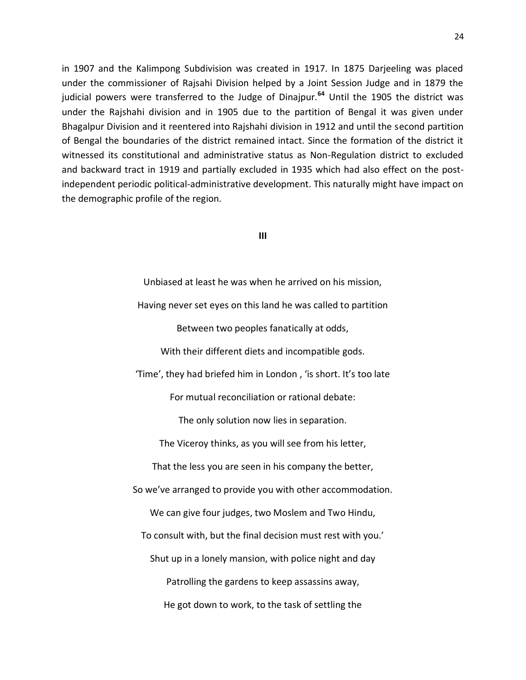in 1907 and the Kalimpong Subdivision was created in 1917. In 1875 Darjeeling was placed under the commissioner of Rajsahi Division helped by a Joint Session Judge and in 1879 the judicial powers were transferred to the Judge of Dinajpur.**<sup>64</sup>** Until the 1905 the district was under the Rajshahi division and in 1905 due to the partition of Bengal it was given under Bhagalpur Division and it reentered into Rajshahi division in 1912 and until the second partition of Bengal the boundaries of the district remained intact. Since the formation of the district it witnessed its constitutional and administrative status as Non-Regulation district to excluded and backward tract in 1919 and partially excluded in 1935 which had also effect on the postindependent periodic political-administrative development. This naturally might have impact on the demographic profile of the region.

#### **III**

| Unbiased at least he was when he arrived on his mission,         |
|------------------------------------------------------------------|
| Having never set eyes on this land he was called to partition    |
| Between two peoples fanatically at odds,                         |
| With their different diets and incompatible gods.                |
| 'Time', they had briefed him in London, 'is short. It's too late |
| For mutual reconciliation or rational debate:                    |
| The only solution now lies in separation.                        |
| The Viceroy thinks, as you will see from his letter,             |
| That the less you are seen in his company the better,            |
| So we've arranged to provide you with other accommodation.       |
| We can give four judges, two Moslem and Two Hindu,               |
| To consult with, but the final decision must rest with you.'     |
| Shut up in a lonely mansion, with police night and day           |
| Patrolling the gardens to keep assassins away,                   |
| He got down to work, to the task of settling the                 |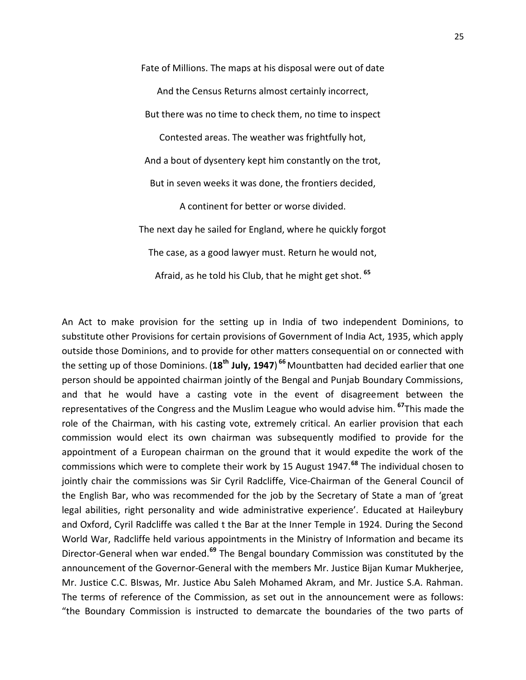Fate of Millions. The maps at his disposal were out of date And the Census Returns almost certainly incorrect, But there was no time to check them, no time to inspect Contested areas. The weather was frightfully hot, And a bout of dysentery kept him constantly on the trot, But in seven weeks it was done, the frontiers decided, A continent for better or worse divided. The next day he sailed for England, where he quickly forgot The case, as a good lawyer must. Return he would not, Afraid, as he told his Club, that he might get shot. **<sup>65</sup>**

An Act to make provision for the setting up in India of two independent Dominions, to substitute other Provisions for certain provisions of Government of India Act, 1935, which apply outside those Dominions, and to provide for other matters consequential on or connected with the setting up of those Dominions. (**18th July, 1947**) **<sup>66</sup>**Mountbatten had decided earlier that one person should be appointed chairman jointly of the Bengal and Punjab Boundary Commissions, and that he would have a casting vote in the event of disagreement between the representatives of the Congress and the Muslim League who would advise him. **<sup>67</sup>**This made the role of the Chairman, with his casting vote, extremely critical. An earlier provision that each commission would elect its own chairman was subsequently modified to provide for the appointment of a European chairman on the ground that it would expedite the work of the commissions which were to complete their work by 15 August 1947.**<sup>68</sup>** The individual chosen to jointly chair the commissions was Sir Cyril Radcliffe, Vice-Chairman of the General Council of the English Bar, who was recommended for the job by the Secretary of State a man of 'great legal abilities, right personality and wide administrative experience'. Educated at Haileybury and Oxford, Cyril Radcliffe was called t the Bar at the Inner Temple in 1924. During the Second World War, Radcliffe held various appointments in the Ministry of Information and became its Director-General when war ended.**<sup>69</sup>** The Bengal boundary Commission was constituted by the announcement of the Governor-General with the members Mr. Justice Bijan Kumar Mukherjee, Mr. Justice C.C. BIswas, Mr. Justice Abu Saleh Mohamed Akram, and Mr. Justice S.A. Rahman. The terms of reference of the Commission, as set out in the announcement were as follows: "the Boundary Commission is instructed to demarcate the boundaries of the two parts of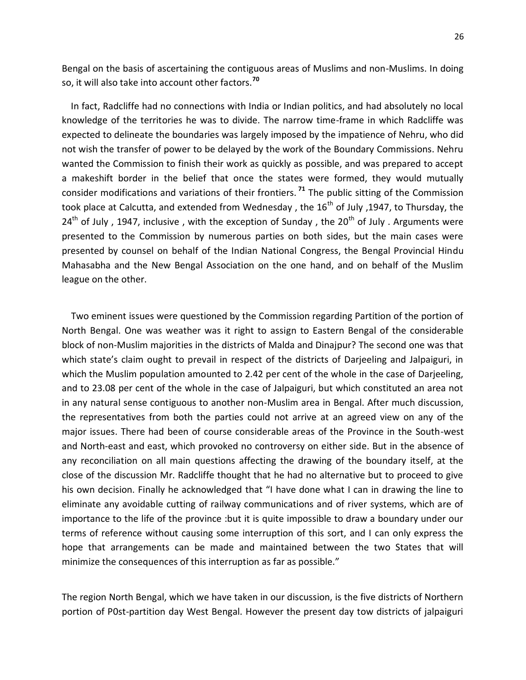Bengal on the basis of ascertaining the contiguous areas of Muslims and non-Muslims. In doing so, it will also take into account other factors.**<sup>70</sup>**

 In fact, Radcliffe had no connections with India or Indian politics, and had absolutely no local knowledge of the territories he was to divide. The narrow time-frame in which Radcliffe was expected to delineate the boundaries was largely imposed by the impatience of Nehru, who did not wish the transfer of power to be delayed by the work of the Boundary Commissions. Nehru wanted the Commission to finish their work as quickly as possible, and was prepared to accept a makeshift border in the belief that once the states were formed, they would mutually consider modifications and variations of their frontiers. **<sup>71</sup>** The public sitting of the Commission took place at Calcutta, and extended from Wednesday, the  $16<sup>th</sup>$  of July ,1947, to Thursday, the  $24<sup>th</sup>$  of July, 1947, inclusive, with the exception of Sunday, the 20<sup>th</sup> of July . Arguments were presented to the Commission by numerous parties on both sides, but the main cases were presented by counsel on behalf of the Indian National Congress, the Bengal Provincial Hindu Mahasabha and the New Bengal Association on the one hand, and on behalf of the Muslim league on the other.

 Two eminent issues were questioned by the Commission regarding Partition of the portion of North Bengal. One was weather was it right to assign to Eastern Bengal of the considerable block of non-Muslim majorities in the districts of Malda and Dinajpur? The second one was that which state's claim ought to prevail in respect of the districts of Darjeeling and Jalpaiguri, in which the Muslim population amounted to 2.42 per cent of the whole in the case of Darjeeling, and to 23.08 per cent of the whole in the case of Jalpaiguri, but which constituted an area not in any natural sense contiguous to another non-Muslim area in Bengal. After much discussion, the representatives from both the parties could not arrive at an agreed view on any of the major issues. There had been of course considerable areas of the Province in the South-west and North-east and east, which provoked no controversy on either side. But in the absence of any reconciliation on all main questions affecting the drawing of the boundary itself, at the close of the discussion Mr. Radcliffe thought that he had no alternative but to proceed to give his own decision. Finally he acknowledged that "I have done what I can in drawing the line to eliminate any avoidable cutting of railway communications and of river systems, which are of importance to the life of the province :but it is quite impossible to draw a boundary under our terms of reference without causing some interruption of this sort, and I can only express the hope that arrangements can be made and maintained between the two States that will minimize the consequences of this interruption as far as possible."

The region North Bengal, which we have taken in our discussion, is the five districts of Northern portion of P0st-partition day West Bengal. However the present day tow districts of jalpaiguri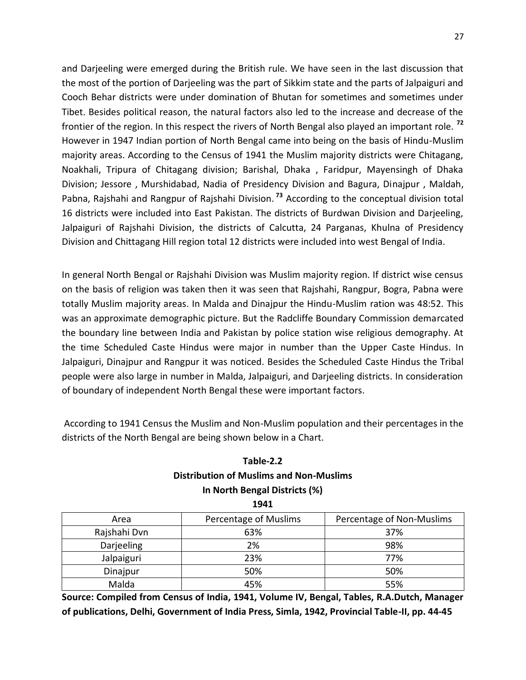and Darjeeling were emerged during the British rule. We have seen in the last discussion that the most of the portion of Darjeeling was the part of Sikkim state and the parts of Jalpaiguri and Cooch Behar districts were under domination of Bhutan for sometimes and sometimes under Tibet. Besides political reason, the natural factors also led to the increase and decrease of the frontier of the region. In this respect the rivers of North Bengal also played an important role. **<sup>72</sup>** However in 1947 Indian portion of North Bengal came into being on the basis of Hindu-Muslim majority areas. According to the Census of 1941 the Muslim majority districts were Chitagang, Noakhali, Tripura of Chitagang division; Barishal, Dhaka , Faridpur, Mayensingh of Dhaka Division; Jessore , Murshidabad, Nadia of Presidency Division and Bagura, Dinajpur , Maldah, Pabna, Rajshahi and Rangpur of Rajshahi Division. **<sup>73</sup>** According to the conceptual division total 16 districts were included into East Pakistan. The districts of Burdwan Division and Darjeeling, Jalpaiguri of Rajshahi Division, the districts of Calcutta, 24 Parganas, Khulna of Presidency Division and Chittagang Hill region total 12 districts were included into west Bengal of India.

In general North Bengal or Rajshahi Division was Muslim majority region. If district wise census on the basis of religion was taken then it was seen that Rajshahi, Rangpur, Bogra, Pabna were totally Muslim majority areas. In Malda and Dinajpur the Hindu-Muslim ration was 48:52. This was an approximate demographic picture. But the Radcliffe Boundary Commission demarcated the boundary line between India and Pakistan by police station wise religious demography. At the time Scheduled Caste Hindus were major in number than the Upper Caste Hindus. In Jalpaiguri, Dinajpur and Rangpur it was noticed. Besides the Scheduled Caste Hindus the Tribal people were also large in number in Malda, Jalpaiguri, and Darjeeling districts. In consideration of boundary of independent North Bengal these were important factors.

According to 1941 Census the Muslim and Non-Muslim population and their percentages in the districts of the North Bengal are being shown below in a Chart.

#### **Table-2.2 Distribution of Muslims and Non-Muslims In North Bengal Districts (%)**

**1941**

| Area         | Percentage of Muslims | Percentage of Non-Muslims |
|--------------|-----------------------|---------------------------|
| Rajshahi Dvn | 63%                   | 37%                       |
| Darjeeling   | 2%                    | 98%                       |
| Jalpaiguri   | 23%                   | 77%                       |
| Dinajpur     | 50%                   | 50%                       |
| Malda        | 45%                   | 55%                       |

**Source: Compiled from Census of India, 1941, Volume IV, Bengal, Tables, R.A.Dutch, Manager of publications, Delhi, Government of India Press, Simla, 1942, Provincial Table-II, pp. 44-45**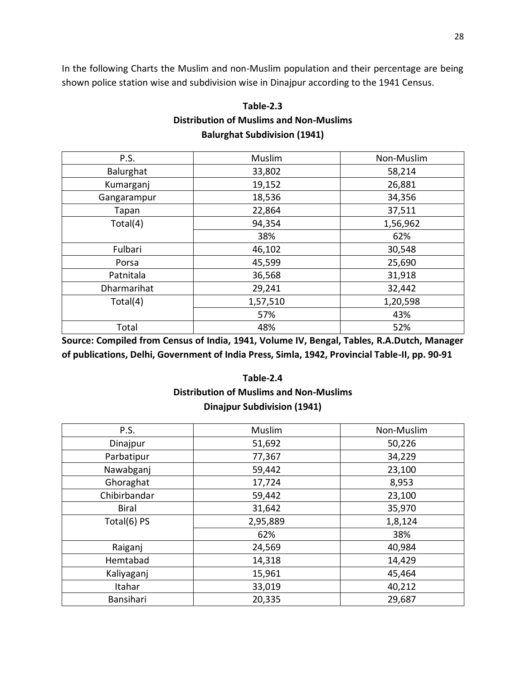In the following Charts the Muslim and non-Muslim population and their percentage are being shown police station wise and subdivision wise in Dinajpur according to the 1941 Census.

### **Table-2.3 Distribution of Muslims and Non-Muslims Balurghat Subdivision (1941)**

| P.S.        | Muslim   | Non-Muslim |
|-------------|----------|------------|
| Balurghat   | 33,802   | 58,214     |
| Kumarganj   | 19,152   | 26,881     |
| Gangarampur | 18,536   | 34,356     |
| Tapan       | 22,864   | 37,511     |
| Total(4)    | 94,354   | 1,56,962   |
|             | 38%      | 62%        |
| Fulbari     | 46,102   | 30,548     |
| Porsa       | 45,599   | 25,690     |
| Patnitala   | 36,568   | 31,918     |
| Dharmarihat | 29,241   | 32,442     |
| Total(4)    | 1,57,510 | 1,20,598   |
|             | 57%      | 43%        |
| Total       | 48%      | 52%        |

**Source: Compiled from Census of India, 1941, Volume IV, Bengal, Tables, R.A.Dutch, Manager of publications, Delhi, Government of India Press, Simla, 1942, Provincial Table-II, pp. 90-91**

#### **Table-2.4**

#### **Distribution of Muslims and Non-Muslims Dinajpur Subdivision (1941)**

| P.S.         | Muslim   | Non-Muslim |
|--------------|----------|------------|
| Dinajpur     | 51,692   | 50,226     |
| Parbatipur   | 77,367   | 34,229     |
| Nawabganj    | 59,442   | 23,100     |
| Ghoraghat    | 17,724   | 8,953      |
| Chibirbandar | 59,442   | 23,100     |
| <b>Biral</b> | 31,642   | 35,970     |
| Total(6) PS  | 2,95,889 | 1,8,124    |
|              | 62%      | 38%        |
| Raiganj      | 24,569   | 40,984     |
| Hemtabad     | 14,318   | 14,429     |
| Kaliyaganj   | 15,961   | 45,464     |
| Itahar       | 33,019   | 40,212     |
| Bansihari    | 20,335   | 29,687     |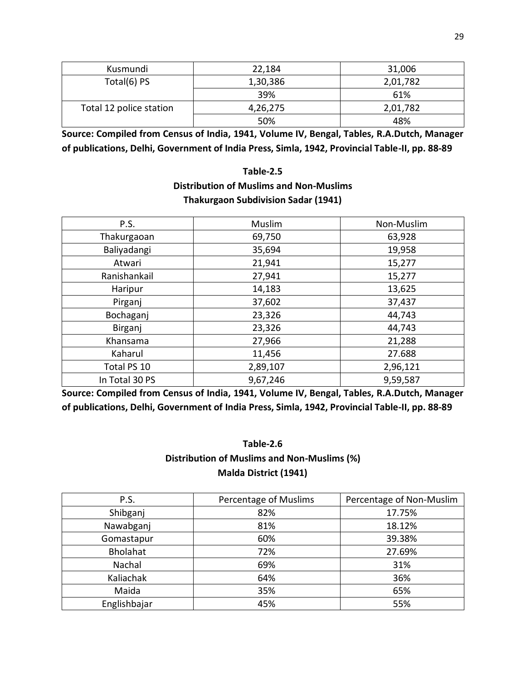| Kusmundi                | 22,184   | 31,006   |
|-------------------------|----------|----------|
| Total $(6)$ PS          | 1,30,386 | 2,01,782 |
|                         | 39%      | 61%      |
| Total 12 police station | 4,26,275 | 2,01,782 |
|                         | 50%      | 48%      |

**Source: Compiled from Census of India, 1941, Volume IV, Bengal, Tables, R.A.Dutch, Manager of publications, Delhi, Government of India Press, Simla, 1942, Provincial Table-II, pp. 88-89**

#### **Table-2.5**

### **Distribution of Muslims and Non-Muslims Thakurgaon Subdivision Sadar (1941)**

| P.S.           | Muslim   | Non-Muslim |
|----------------|----------|------------|
| Thakurgaoan    | 69,750   | 63,928     |
| Baliyadangi    | 35,694   | 19,958     |
| Atwari         | 21,941   | 15,277     |
| Ranishankail   | 27,941   | 15,277     |
| Haripur        | 14,183   | 13,625     |
| Pirganj        | 37,602   | 37,437     |
| Bochaganj      | 23,326   | 44,743     |
| Birganj        | 23,326   | 44,743     |
| Khansama       | 27,966   | 21,288     |
| Kaharul        | 11,456   | 27.688     |
| Total PS 10    | 2,89,107 | 2,96,121   |
| In Total 30 PS | 9,67,246 | 9,59,587   |

**Source: Compiled from Census of India, 1941, Volume IV, Bengal, Tables, R.A.Dutch, Manager of publications, Delhi, Government of India Press, Simla, 1942, Provincial Table-II, pp. 88-89**

## **Table-2.6**

### **Distribution of Muslims and Non-Muslims (%) Malda District (1941)**

| P.S.            | Percentage of Muslims | Percentage of Non-Muslim |
|-----------------|-----------------------|--------------------------|
| Shibganj        | 82%                   | 17.75%                   |
| Nawabganj       | 81%                   | 18.12%                   |
| Gomastapur      | 60%                   | 39.38%                   |
| <b>Bholahat</b> | 72%                   | 27.69%                   |
| Nachal          | 69%                   | 31%                      |
| Kaliachak       | 64%                   | 36%                      |
| Maida           | 35%                   | 65%                      |
| Englishbajar    | 45%                   | 55%                      |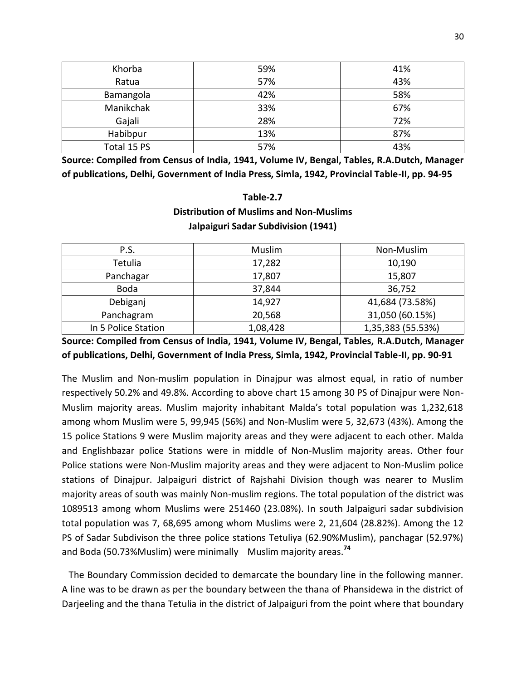| Khorba      | 59% | 41% |
|-------------|-----|-----|
| Ratua       | 57% | 43% |
| Bamangola   | 42% | 58% |
| Manikchak   | 33% | 67% |
| Gajali      | 28% | 72% |
| Habibpur    | 13% | 87% |
| Total 15 PS | 57% | 43% |

**Source: Compiled from Census of India, 1941, Volume IV, Bengal, Tables, R.A.Dutch, Manager of publications, Delhi, Government of India Press, Simla, 1942, Provincial Table-II, pp. 94-95**

### **Table-2.7 Distribution of Muslims and Non-Muslims Jalpaiguri Sadar Subdivision (1941)**

| P.S.                | Muslim   | Non-Muslim        |
|---------------------|----------|-------------------|
| Tetulia             | 17,282   | 10,190            |
| Panchagar           | 17,807   | 15,807            |
| <b>Boda</b>         | 37,844   | 36,752            |
| Debiganj            | 14,927   | 41,684 (73.58%)   |
| Panchagram          | 20,568   | 31,050 (60.15%)   |
| In 5 Police Station | 1,08,428 | 1,35,383 (55.53%) |

#### **Source: Compiled from Census of India, 1941, Volume IV, Bengal, Tables, R.A.Dutch, Manager of publications, Delhi, Government of India Press, Simla, 1942, Provincial Table-II, pp. 90-91**

The Muslim and Non-muslim population in Dinajpur was almost equal, in ratio of number respectively 50.2% and 49.8%. According to above chart 15 among 30 PS of Dinajpur were Non-Muslim majority areas. Muslim majority inhabitant Malda's total population was 1,232,618 among whom Muslim were 5, 99,945 (56%) and Non-Muslim were 5, 32,673 (43%). Among the 15 police Stations 9 were Muslim majority areas and they were adjacent to each other. Malda and Englishbazar police Stations were in middle of Non-Muslim majority areas. Other four Police stations were Non-Muslim majority areas and they were adjacent to Non-Muslim police stations of Dinajpur. Jalpaiguri district of Rajshahi Division though was nearer to Muslim majority areas of south was mainly Non-muslim regions. The total population of the district was 1089513 among whom Muslims were 251460 (23.08%). In south Jalpaiguri sadar subdivision total population was 7, 68,695 among whom Muslims were 2, 21,604 (28.82%). Among the 12 PS of Sadar Subdivison the three police stations Tetuliya (62.90%Muslim), panchagar (52.97%) and Boda (50.73%Muslim) were minimally Muslim majority areas.**<sup>74</sup>**

 The Boundary Commission decided to demarcate the boundary line in the following manner. A line was to be drawn as per the boundary between the thana of Phansidewa in the district of Darjeeling and the thana Tetulia in the district of Jalpaiguri from the point where that boundary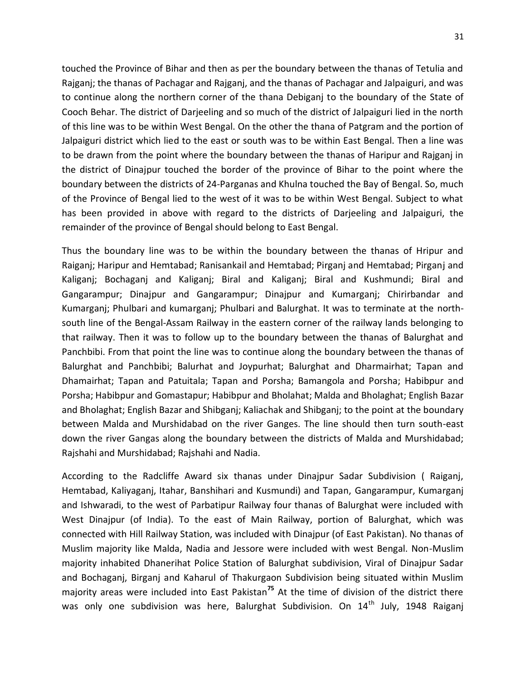touched the Province of Bihar and then as per the boundary between the thanas of Tetulia and Rajganj; the thanas of Pachagar and Rajganj, and the thanas of Pachagar and Jalpaiguri, and was to continue along the northern corner of the thana Debiganj to the boundary of the State of Cooch Behar. The district of Darjeeling and so much of the district of Jalpaiguri lied in the north of this line was to be within West Bengal. On the other the thana of Patgram and the portion of Jalpaiguri district which lied to the east or south was to be within East Bengal. Then a line was to be drawn from the point where the boundary between the thanas of Haripur and Rajganj in the district of Dinajpur touched the border of the province of Bihar to the point where the boundary between the districts of 24-Parganas and Khulna touched the Bay of Bengal. So, much of the Province of Bengal lied to the west of it was to be within West Bengal. Subject to what has been provided in above with regard to the districts of Darjeeling and Jalpaiguri, the remainder of the province of Bengal should belong to East Bengal.

Thus the boundary line was to be within the boundary between the thanas of Hripur and Raiganj; Haripur and Hemtabad; Ranisankail and Hemtabad; Pirganj and Hemtabad; Pirganj and Kaliganj; Bochaganj and Kaliganj; Biral and Kaliganj; Biral and Kushmundi; Biral and Gangarampur; Dinajpur and Gangarampur; Dinajpur and Kumarganj; Chirirbandar and Kumarganj; Phulbari and kumarganj; Phulbari and Balurghat. It was to terminate at the northsouth line of the Bengal-Assam Railway in the eastern corner of the railway lands belonging to that railway. Then it was to follow up to the boundary between the thanas of Balurghat and Panchbibi. From that point the line was to continue along the boundary between the thanas of Balurghat and Panchbibi; Balurhat and Joypurhat; Balurghat and Dharmairhat; Tapan and Dhamairhat; Tapan and Patuitala; Tapan and Porsha; Bamangola and Porsha; Habibpur and Porsha; Habibpur and Gomastapur; Habibpur and Bholahat; Malda and Bholaghat; English Bazar and Bholaghat; English Bazar and Shibganj; Kaliachak and Shibganj; to the point at the boundary between Malda and Murshidabad on the river Ganges. The line should then turn south-east down the river Gangas along the boundary between the districts of Malda and Murshidabad; Rajshahi and Murshidabad; Rajshahi and Nadia.

According to the Radcliffe Award six thanas under Dinajpur Sadar Subdivision ( Raiganj, Hemtabad, Kaliyaganj, Itahar, Banshihari and Kusmundi) and Tapan, Gangarampur, Kumarganj and Ishwaradi, to the west of Parbatipur Railway four thanas of Balurghat were included with West Dinajpur (of India). To the east of Main Railway, portion of Balurghat, which was connected with Hill Railway Station, was included with Dinajpur (of East Pakistan). No thanas of Muslim majority like Malda, Nadia and Jessore were included with west Bengal. Non-Muslim majority inhabited Dhanerihat Police Station of Balurghat subdivision, Viral of Dinajpur Sadar and Bochaganj, Birganj and Kaharul of Thakurgaon Subdivision being situated within Muslim majority areas were included into East Pakistan**<sup>75</sup>** At the time of division of the district there was only one subdivision was here, Balurghat Subdivision. On  $14<sup>th</sup>$  July, 1948 Raiganj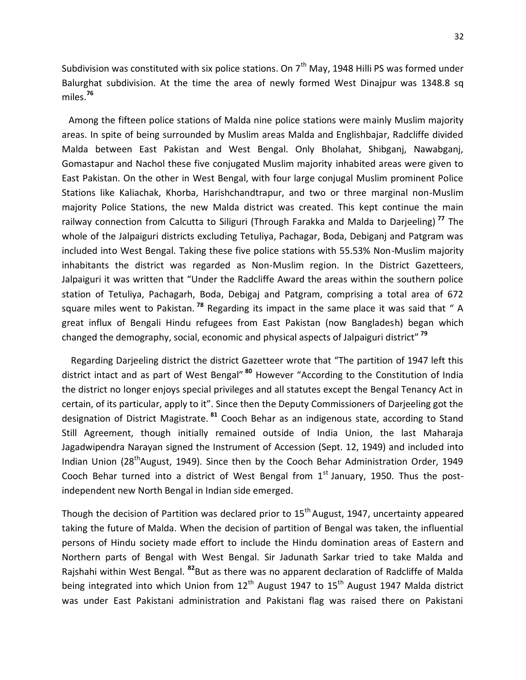Subdivision was constituted with six police stations. On  $7<sup>th</sup>$  May, 1948 Hilli PS was formed under Balurghat subdivision. At the time the area of newly formed West Dinajpur was 1348.8 sq miles. **76**

 Among the fifteen police stations of Malda nine police stations were mainly Muslim majority areas. In spite of being surrounded by Muslim areas Malda and Englishbajar, Radcliffe divided Malda between East Pakistan and West Bengal. Only Bholahat, Shibganj, Nawabganj, Gomastapur and Nachol these five conjugated Muslim majority inhabited areas were given to East Pakistan. On the other in West Bengal, with four large conjugal Muslim prominent Police Stations like Kaliachak, Khorba, Harishchandtrapur, and two or three marginal non-Muslim majority Police Stations, the new Malda district was created. This kept continue the main railway connection from Calcutta to Siliguri (Through Farakka and Malda to Darjeeling) **<sup>77</sup>** The whole of the Jalpaiguri districts excluding Tetuliya, Pachagar, Boda, Debiganj and Patgram was included into West Bengal. Taking these five police stations with 55.53% Non-Muslim majority inhabitants the district was regarded as Non-Muslim region. In the District Gazetteers, Jalpaiguri it was written that "Under the Radcliffe Award the areas within the southern police station of Tetuliya, Pachagarh, Boda, Debigaj and Patgram, comprising a total area of 672 square miles went to Pakistan. **<sup>78</sup>** Regarding its impact in the same place it was said that " A great influx of Bengali Hindu refugees from East Pakistan (now Bangladesh) began which changed the demography, social, economic and physical aspects of Jalpaiguri district" **<sup>79</sup>**

 Regarding Darjeeling district the district Gazetteer wrote that "The partition of 1947 left this district intact and as part of West Bengal" **<sup>80</sup>** However "According to the Constitution of India the district no longer enjoys special privileges and all statutes except the Bengal Tenancy Act in certain, of its particular, apply to it". Since then the Deputy Commissioners of Darjeeling got the designation of District Magistrate. **<sup>81</sup>** Cooch Behar as an indigenous state, according to Stand Still Agreement, though initially remained outside of India Union, the last Maharaja Jagadwipendra Narayan signed the Instrument of Accession (Sept. 12, 1949) and included into Indian Union (28<sup>th</sup>August, 1949). Since then by the Cooch Behar Administration Order, 1949 Cooch Behar turned into a district of West Bengal from  $1<sup>st</sup>$  January, 1950. Thus the postindependent new North Bengal in Indian side emerged.

Though the decision of Partition was declared prior to  $15<sup>th</sup>$  August, 1947, uncertainty appeared taking the future of Malda. When the decision of partition of Bengal was taken, the influential persons of Hindu society made effort to include the Hindu domination areas of Eastern and Northern parts of Bengal with West Bengal. Sir Jadunath Sarkar tried to take Malda and Rajshahi within West Bengal. **<sup>82</sup>**But as there was no apparent declaration of Radcliffe of Malda being integrated into which Union from  $12<sup>th</sup>$  August 1947 to  $15<sup>th</sup>$  August 1947 Malda district was under East Pakistani administration and Pakistani flag was raised there on Pakistani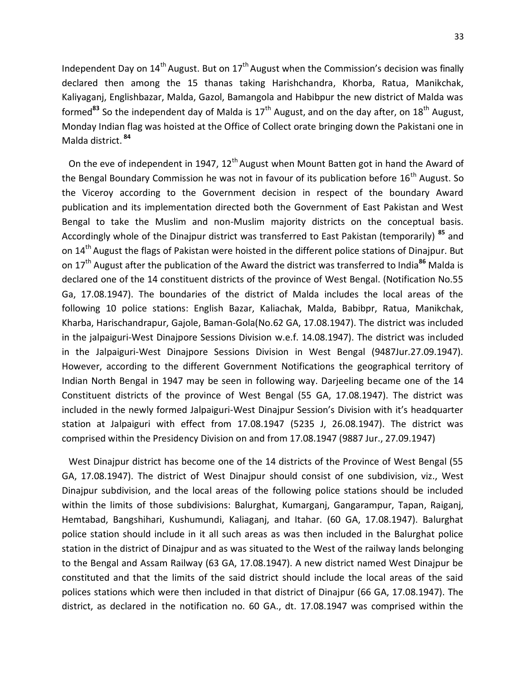Independent Day on  $14<sup>th</sup>$  August. But on  $17<sup>th</sup>$  August when the Commission's decision was finally declared then among the 15 thanas taking Harishchandra, Khorba, Ratua, Manikchak, Kaliyaganj, Englishbazar, Malda, Gazol, Bamangola and Habibpur the new district of Malda was formed<sup>83</sup> So the independent day of Malda is  $17<sup>th</sup>$  August, and on the day after, on  $18<sup>th</sup>$  August, Monday Indian flag was hoisted at the Office of Collect orate bringing down the Pakistani one in Malda district. **<sup>84</sup>**

On the eve of independent in 1947,  $12<sup>th</sup>$  August when Mount Batten got in hand the Award of the Bengal Boundary Commission he was not in favour of its publication before  $16<sup>th</sup>$  August. So the Viceroy according to the Government decision in respect of the boundary Award publication and its implementation directed both the Government of East Pakistan and West Bengal to take the Muslim and non-Muslim majority districts on the conceptual basis. Accordingly whole of the Dinajpur district was transferred to East Pakistan (temporarily) **<sup>85</sup>** and on 14<sup>th</sup> August the flags of Pakistan were hoisted in the different police stations of Dinajpur. But on 17th August after the publication of the Award the district was transferred to India**<sup>86</sup>** Malda is declared one of the 14 constituent districts of the province of West Bengal. (Notification No.55 Ga, 17.08.1947). The boundaries of the district of Malda includes the local areas of the following 10 police stations: English Bazar, Kaliachak, Malda, Babibpr, Ratua, Manikchak, Kharba, Harischandrapur, Gajole, Baman-Gola(No.62 GA, 17.08.1947). The district was included in the jalpaiguri-West Dinajpore Sessions Division w.e.f. 14.08.1947). The district was included in the Jalpaiguri-West Dinajpore Sessions Division in West Bengal (9487Jur.27.09.1947). However, according to the different Government Notifications the geographical territory of Indian North Bengal in 1947 may be seen in following way. Darjeeling became one of the 14 Constituent districts of the province of West Bengal (55 GA, 17.08.1947). The district was included in the newly formed Jalpaiguri-West Dinajpur Session's Division with it's headquarter station at Jalpaiguri with effect from 17.08.1947 (5235 J, 26.08.1947). The district was comprised within the Presidency Division on and from 17.08.1947 (9887 Jur., 27.09.1947)

 West Dinajpur district has become one of the 14 districts of the Province of West Bengal (55 GA, 17.08.1947). The district of West Dinajpur should consist of one subdivision, viz., West Dinajpur subdivision, and the local areas of the following police stations should be included within the limits of those subdivisions: Balurghat, Kumarganj, Gangarampur, Tapan, Raiganj, Hemtabad, Bangshihari, Kushumundi, Kaliaganj, and Itahar. (60 GA, 17.08.1947). Balurghat police station should include in it all such areas as was then included in the Balurghat police station in the district of Dinajpur and as was situated to the West of the railway lands belonging to the Bengal and Assam Railway (63 GA, 17.08.1947). A new district named West Dinajpur be constituted and that the limits of the said district should include the local areas of the said polices stations which were then included in that district of Dinajpur (66 GA, 17.08.1947). The district, as declared in the notification no. 60 GA., dt. 17.08.1947 was comprised within the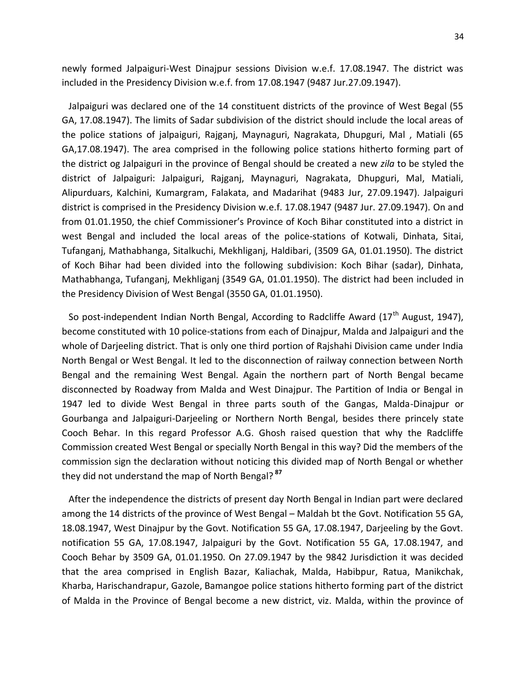newly formed Jalpaiguri-West Dinajpur sessions Division w.e.f. 17.08.1947. The district was included in the Presidency Division w.e.f. from 17.08.1947 (9487 Jur.27.09.1947).

 Jalpaiguri was declared one of the 14 constituent districts of the province of West Begal (55 GA, 17.08.1947). The limits of Sadar subdivision of the district should include the local areas of the police stations of jalpaiguri, Rajganj, Maynaguri, Nagrakata, Dhupguri, Mal , Matiali (65 GA,17.08.1947). The area comprised in the following police stations hitherto forming part of the district og Jalpaiguri in the province of Bengal should be created a new *zila* to be styled the district of Jalpaiguri: Jalpaiguri, Rajganj, Maynaguri, Nagrakata, Dhupguri, Mal, Matiali, Alipurduars, Kalchini, Kumargram, Falakata, and Madarihat (9483 Jur, 27.09.1947). Jalpaiguri district is comprised in the Presidency Division w.e.f. 17.08.1947 (9487 Jur. 27.09.1947). On and from 01.01.1950, the chief Commissioner's Province of Koch Bihar constituted into a district in west Bengal and included the local areas of the police-stations of Kotwali, Dinhata, Sitai, Tufanganj, Mathabhanga, Sitalkuchi, Mekhliganj, Haldibari, (3509 GA, 01.01.1950). The district of Koch Bihar had been divided into the following subdivision: Koch Bihar (sadar), Dinhata, Mathabhanga, Tufanganj, Mekhliganj (3549 GA, 01.01.1950). The district had been included in the Presidency Division of West Bengal (3550 GA, 01.01.1950).

So post-independent Indian North Bengal, According to Radcliffe Award  $(17<sup>th</sup>$  August, 1947), become constituted with 10 police-stations from each of Dinajpur, Malda and Jalpaiguri and the whole of Darjeeling district. That is only one third portion of Rajshahi Division came under India North Bengal or West Bengal. It led to the disconnection of railway connection between North Bengal and the remaining West Bengal. Again the northern part of North Bengal became disconnected by Roadway from Malda and West Dinajpur. The Partition of India or Bengal in 1947 led to divide West Bengal in three parts south of the Gangas, Malda-Dinajpur or Gourbanga and Jalpaiguri-Darjeeling or Northern North Bengal, besides there princely state Cooch Behar. In this regard Professor A.G. Ghosh raised question that why the Radcliffe Commission created West Bengal or specially North Bengal in this way? Did the members of the commission sign the declaration without noticing this divided map of North Bengal or whether they did not understand the map of North Bengal? **<sup>87</sup>**

 After the independence the districts of present day North Bengal in Indian part were declared among the 14 districts of the province of West Bengal – Maldah bt the Govt. Notification 55 GA, 18.08.1947, West Dinajpur by the Govt. Notification 55 GA, 17.08.1947, Darjeeling by the Govt. notification 55 GA, 17.08.1947, Jalpaiguri by the Govt. Notification 55 GA, 17.08.1947, and Cooch Behar by 3509 GA, 01.01.1950. On 27.09.1947 by the 9842 Jurisdiction it was decided that the area comprised in English Bazar, Kaliachak, Malda, Habibpur, Ratua, Manikchak, Kharba, Harischandrapur, Gazole, Bamangoe police stations hitherto forming part of the district of Malda in the Province of Bengal become a new district, viz. Malda, within the province of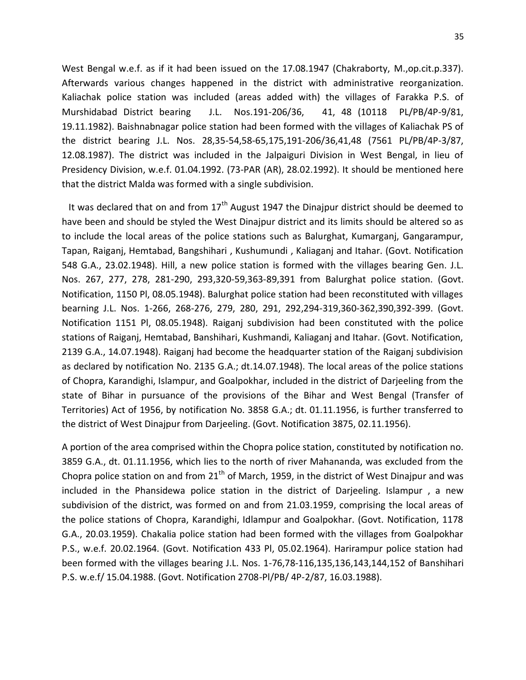West Bengal w.e.f. as if it had been issued on the 17.08.1947 (Chakraborty, M.,op.cit.p.337). Afterwards various changes happened in the district with administrative reorganization. Kaliachak police station was included (areas added with) the villages of Farakka P.S. of Murshidabad District bearing J.L. Nos.191-206/36, 41, 48 (10118 PL/PB/4P-9/81, 19.11.1982). Baishnabnagar police station had been formed with the villages of Kaliachak PS of the district bearing J.L. Nos. 28,35-54,58-65,175,191-206/36,41,48 (7561 PL/PB/4P-3/87, 12.08.1987). The district was included in the Jalpaiguri Division in West Bengal, in lieu of Presidency Division, w.e.f. 01.04.1992. (73-PAR (AR), 28.02.1992). It should be mentioned here that the district Malda was formed with a single subdivision.

It was declared that on and from  $17<sup>th</sup>$  August 1947 the Dinajpur district should be deemed to have been and should be styled the West Dinajpur district and its limits should be altered so as to include the local areas of the police stations such as Balurghat, Kumarganj, Gangarampur, Tapan, Raiganj, Hemtabad, Bangshihari , Kushumundi , Kaliaganj and Itahar. (Govt. Notification 548 G.A., 23.02.1948). Hill, a new police station is formed with the villages bearing Gen. J.L. Nos. 267, 277, 278, 281-290, 293,320-59,363-89,391 from Balurghat police station. (Govt. Notification, 1150 Pl, 08.05.1948). Balurghat police station had been reconstituted with villages bearning J.L. Nos. 1-266, 268-276, 279, 280, 291, 292,294-319,360-362,390,392-399. (Govt. Notification 1151 Pl, 08.05.1948). Raiganj subdivision had been constituted with the police stations of Raiganj, Hemtabad, Banshihari, Kushmandi, Kaliaganj and Itahar. (Govt. Notification, 2139 G.A., 14.07.1948). Raiganj had become the headquarter station of the Raiganj subdivision as declared by notification No. 2135 G.A.; dt.14.07.1948). The local areas of the police stations of Chopra, Karandighi, Islampur, and Goalpokhar, included in the district of Darjeeling from the state of Bihar in pursuance of the provisions of the Bihar and West Bengal (Transfer of Territories) Act of 1956, by notification No. 3858 G.A.; dt. 01.11.1956, is further transferred to the district of West Dinajpur from Darjeeling. (Govt. Notification 3875, 02.11.1956).

A portion of the area comprised within the Chopra police station, constituted by notification no. 3859 G.A., dt. 01.11.1956, which lies to the north of river Mahananda, was excluded from the Chopra police station on and from  $21<sup>th</sup>$  of March, 1959, in the district of West Dinajpur and was included in the Phansidewa police station in the district of Darjeeling. Islampur , a new subdivision of the district, was formed on and from 21.03.1959, comprising the local areas of the police stations of Chopra, Karandighi, Idlampur and Goalpokhar. (Govt. Notification, 1178 G.A., 20.03.1959). Chakalia police station had been formed with the villages from Goalpokhar P.S., w.e.f. 20.02.1964. (Govt. Notification 433 Pl, 05.02.1964). Harirampur police station had been formed with the villages bearing J.L. Nos. 1-76,78-116,135,136,143,144,152 of Banshihari P.S. w.e.f/ 15.04.1988. (Govt. Notification 2708-Pl/PB/ 4P-2/87, 16.03.1988).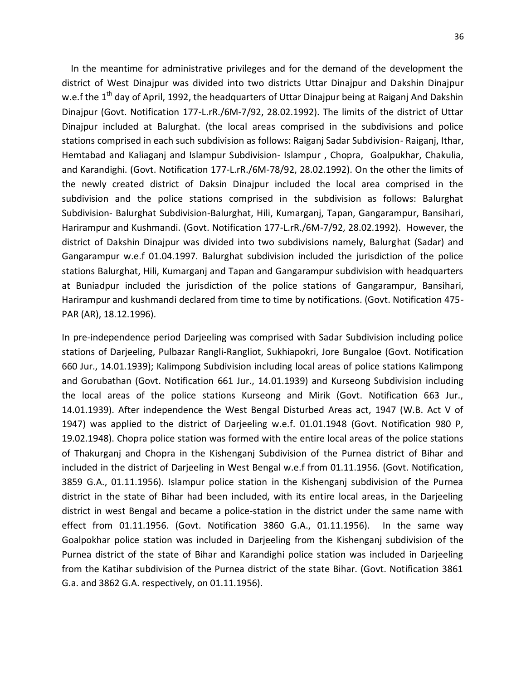In the meantime for administrative privileges and for the demand of the development the district of West Dinajpur was divided into two districts Uttar Dinajpur and Dakshin Dinajpur w.e.f the 1<sup>th</sup> day of April, 1992, the headquarters of Uttar Dinajpur being at Raiganj And Dakshin Dinajpur (Govt. Notification 177-L.rR./6M-7/92, 28.02.1992). The limits of the district of Uttar Dinajpur included at Balurghat. (the local areas comprised in the subdivisions and police stations comprised in each such subdivision as follows: Raiganj Sadar Subdivision- Raiganj, Ithar, Hemtabad and Kaliaganj and Islampur Subdivision- Islampur , Chopra, Goalpukhar, Chakulia, and Karandighi. (Govt. Notification 177-L.rR./6M-78/92, 28.02.1992). On the other the limits of the newly created district of Daksin Dinajpur included the local area comprised in the subdivision and the police stations comprised in the subdivision as follows: Balurghat Subdivision- Balurghat Subdivision-Balurghat, Hili, Kumarganj, Tapan, Gangarampur, Bansihari, Harirampur and Kushmandi. (Govt. Notification 177-L.rR./6M-7/92, 28.02.1992). However, the district of Dakshin Dinajpur was divided into two subdivisions namely, Balurghat (Sadar) and Gangarampur w.e.f 01.04.1997. Balurghat subdivision included the jurisdiction of the police stations Balurghat, Hili, Kumarganj and Tapan and Gangarampur subdivision with headquarters at Buniadpur included the jurisdiction of the police stations of Gangarampur, Bansihari, Harirampur and kushmandi declared from time to time by notifications. (Govt. Notification 475- PAR (AR), 18.12.1996).

In pre-independence period Darjeeling was comprised with Sadar Subdivision including police stations of Darjeeling, Pulbazar Rangli-Rangliot, Sukhiapokri, Jore Bungaloe (Govt. Notification 660 Jur., 14.01.1939); Kalimpong Subdivision including local areas of police stations Kalimpong and Gorubathan (Govt. Notification 661 Jur., 14.01.1939) and Kurseong Subdivision including the local areas of the police stations Kurseong and Mirik (Govt. Notification 663 Jur., 14.01.1939). After independence the West Bengal Disturbed Areas act, 1947 (W.B. Act V of 1947) was applied to the district of Darjeeling w.e.f. 01.01.1948 (Govt. Notification 980 P, 19.02.1948). Chopra police station was formed with the entire local areas of the police stations of Thakurganj and Chopra in the Kishenganj Subdivision of the Purnea district of Bihar and included in the district of Darjeeling in West Bengal w.e.f from 01.11.1956. (Govt. Notification, 3859 G.A., 01.11.1956). Islampur police station in the Kishenganj subdivision of the Purnea district in the state of Bihar had been included, with its entire local areas, in the Darjeeling district in west Bengal and became a police-station in the district under the same name with effect from 01.11.1956. (Govt. Notification 3860 G.A., 01.11.1956). In the same way Goalpokhar police station was included in Darjeeling from the Kishenganj subdivision of the Purnea district of the state of Bihar and Karandighi police station was included in Darjeeling from the Katihar subdivision of the Purnea district of the state Bihar. (Govt. Notification 3861 G.a. and 3862 G.A. respectively, on 01.11.1956).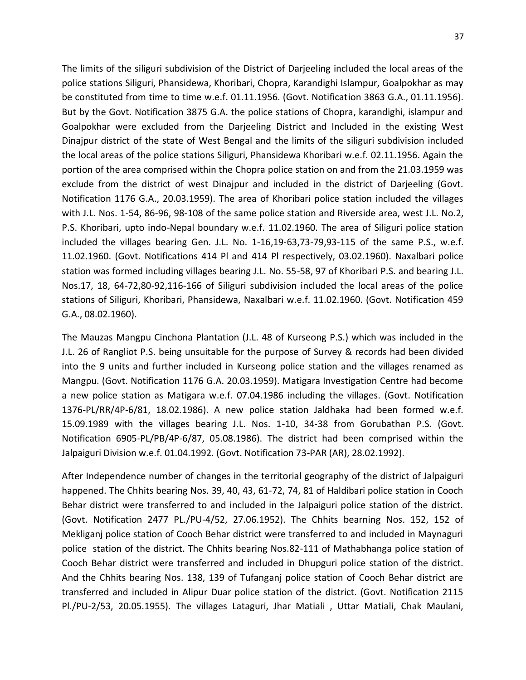The limits of the siliguri subdivision of the District of Darjeeling included the local areas of the police stations Siliguri, Phansidewa, Khoribari, Chopra, Karandighi Islampur, Goalpokhar as may be constituted from time to time w.e.f. 01.11.1956. (Govt. Notification 3863 G.A., 01.11.1956). But by the Govt. Notification 3875 G.A. the police stations of Chopra, karandighi, islampur and Goalpokhar were excluded from the Darjeeling District and Included in the existing West Dinajpur district of the state of West Bengal and the limits of the siliguri subdivision included the local areas of the police stations Siliguri, Phansidewa Khoribari w.e.f. 02.11.1956. Again the portion of the area comprised within the Chopra police station on and from the 21.03.1959 was exclude from the district of west Dinajpur and included in the district of Darjeeling (Govt. Notification 1176 G.A., 20.03.1959). The area of Khoribari police station included the villages with J.L. Nos. 1-54, 86-96, 98-108 of the same police station and Riverside area, west J.L. No.2, P.S. Khoribari, upto indo-Nepal boundary w.e.f. 11.02.1960. The area of Siliguri police station included the villages bearing Gen. J.L. No. 1-16,19-63,73-79,93-115 of the same P.S., w.e.f. 11.02.1960. (Govt. Notifications 414 Pl and 414 Pl respectively, 03.02.1960). Naxalbari police station was formed including villages bearing J.L. No. 55-58, 97 of Khoribari P.S. and bearing J.L. Nos.17, 18, 64-72,80-92,116-166 of Siliguri subdivision included the local areas of the police stations of Siliguri, Khoribari, Phansidewa, Naxalbari w.e.f. 11.02.1960. (Govt. Notification 459 G.A., 08.02.1960).

The Mauzas Mangpu Cinchona Plantation (J.L. 48 of Kurseong P.S.) which was included in the J.L. 26 of Rangliot P.S. being unsuitable for the purpose of Survey & records had been divided into the 9 units and further included in Kurseong police station and the villages renamed as Mangpu. (Govt. Notification 1176 G.A. 20.03.1959). Matigara Investigation Centre had become a new police station as Matigara w.e.f. 07.04.1986 including the villages. (Govt. Notification 1376-PL/RR/4P-6/81, 18.02.1986). A new police station Jaldhaka had been formed w.e.f. 15.09.1989 with the villages bearing J.L. Nos. 1-10, 34-38 from Gorubathan P.S. (Govt. Notification 6905-PL/PB/4P-6/87, 05.08.1986). The district had been comprised within the Jalpaiguri Division w.e.f. 01.04.1992. (Govt. Notification 73-PAR (AR), 28.02.1992).

After Independence number of changes in the territorial geography of the district of Jalpaiguri happened. The Chhits bearing Nos. 39, 40, 43, 61-72, 74, 81 of Haldibari police station in Cooch Behar district were transferred to and included in the Jalpaiguri police station of the district. (Govt. Notification 2477 PL./PU-4/52, 27.06.1952). The Chhits bearning Nos. 152, 152 of Mekliganj police station of Cooch Behar district were transferred to and included in Maynaguri police station of the district. The Chhits bearing Nos.82-111 of Mathabhanga police station of Cooch Behar district were transferred and included in Dhupguri police station of the district. And the Chhits bearing Nos. 138, 139 of Tufanganj police station of Cooch Behar district are transferred and included in Alipur Duar police station of the district. (Govt. Notification 2115 Pl./PU-2/53, 20.05.1955). The villages Lataguri, Jhar Matiali , Uttar Matiali, Chak Maulani,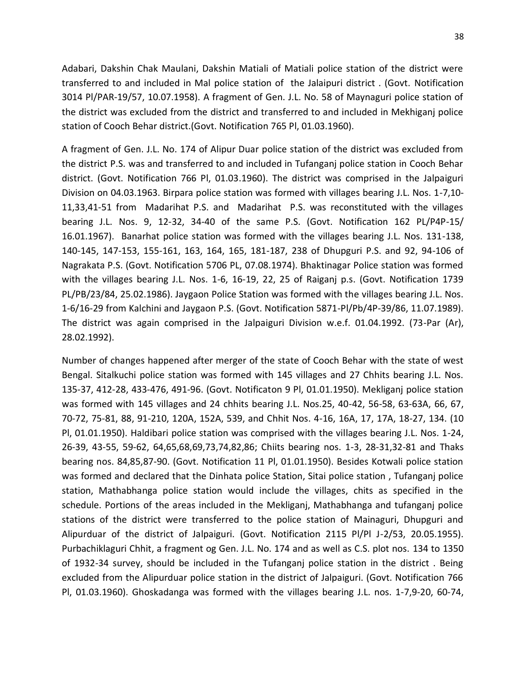Adabari, Dakshin Chak Maulani, Dakshin Matiali of Matiali police station of the district were transferred to and included in Mal police station of the Jalaipuri district . (Govt. Notification 3014 Pl/PAR-19/57, 10.07.1958). A fragment of Gen. J.L. No. 58 of Maynaguri police station of the district was excluded from the district and transferred to and included in Mekhiganj police station of Cooch Behar district.(Govt. Notification 765 Pl, 01.03.1960).

A fragment of Gen. J.L. No. 174 of Alipur Duar police station of the district was excluded from the district P.S. was and transferred to and included in Tufanganj police station in Cooch Behar district. (Govt. Notification 766 Pl, 01.03.1960). The district was comprised in the Jalpaiguri Division on 04.03.1963. Birpara police station was formed with villages bearing J.L. Nos. 1-7,10- 11,33,41-51 from Madarihat P.S. and Madarihat P.S. was reconstituted with the villages bearing J.L. Nos. 9, 12-32, 34-40 of the same P.S. (Govt. Notification 162 PL/P4P-15/ 16.01.1967). Banarhat police station was formed with the villages bearing J.L. Nos. 131-138, 140-145, 147-153, 155-161, 163, 164, 165, 181-187, 238 of Dhupguri P.S. and 92, 94-106 of Nagrakata P.S. (Govt. Notification 5706 PL, 07.08.1974). Bhaktinagar Police station was formed with the villages bearing J.L. Nos. 1-6, 16-19, 22, 25 of Raiganj p.s. (Govt. Notification 1739 PL/PB/23/84, 25.02.1986). Jaygaon Police Station was formed with the villages bearing J.L. Nos. 1-6/16-29 from Kalchini and Jaygaon P.S. (Govt. Notification 5871-Pl/Pb/4P-39/86, 11.07.1989). The district was again comprised in the Jalpaiguri Division w.e.f. 01.04.1992. (73-Par (Ar), 28.02.1992).

Number of changes happened after merger of the state of Cooch Behar with the state of west Bengal. Sitalkuchi police station was formed with 145 villages and 27 Chhits bearing J.L. Nos. 135-37, 412-28, 433-476, 491-96. (Govt. Notificaton 9 Pl, 01.01.1950). Mekliganj police station was formed with 145 villages and 24 chhits bearing J.L. Nos.25, 40-42, 56-58, 63-63A, 66, 67, 70-72, 75-81, 88, 91-210, 120A, 152A, 539, and Chhit Nos. 4-16, 16A, 17, 17A, 18-27, 134. (10 Pl, 01.01.1950). Haldibari police station was comprised with the villages bearing J.L. Nos. 1-24, 26-39, 43-55, 59-62, 64,65,68,69,73,74,82,86; Chiits bearing nos. 1-3, 28-31,32-81 and Thaks bearing nos. 84,85,87-90. (Govt. Notification 11 Pl, 01.01.1950). Besides Kotwali police station was formed and declared that the Dinhata police Station, Sitai police station , Tufanganj police station, Mathabhanga police station would include the villages, chits as specified in the schedule. Portions of the areas included in the Mekliganj, Mathabhanga and tufanganj police stations of the district were transferred to the police station of Mainaguri, Dhupguri and Alipurduar of the district of Jalpaiguri. (Govt. Notification 2115 Pl/Pl J-2/53, 20.05.1955). Purbachiklaguri Chhit, a fragment og Gen. J.L. No. 174 and as well as C.S. plot nos. 134 to 1350 of 1932-34 survey, should be included in the Tufanganj police station in the district . Being excluded from the Alipurduar police station in the district of Jalpaiguri. (Govt. Notification 766 Pl, 01.03.1960). Ghoskadanga was formed with the villages bearing J.L. nos. 1-7,9-20, 60-74,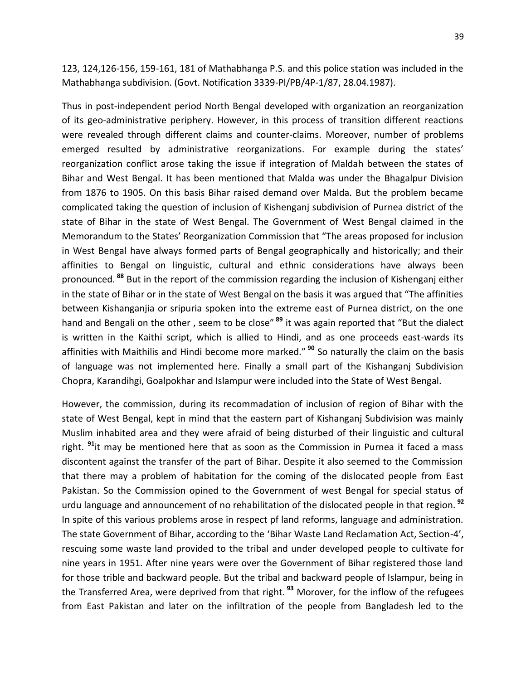123, 124,126-156, 159-161, 181 of Mathabhanga P.S. and this police station was included in the Mathabhanga subdivision. (Govt. Notification 3339-Pl/PB/4P-1/87, 28.04.1987).

Thus in post-independent period North Bengal developed with organization an reorganization of its geo-administrative periphery. However, in this process of transition different reactions were revealed through different claims and counter-claims. Moreover, number of problems emerged resulted by administrative reorganizations. For example during the states' reorganization conflict arose taking the issue if integration of Maldah between the states of Bihar and West Bengal. It has been mentioned that Malda was under the Bhagalpur Division from 1876 to 1905. On this basis Bihar raised demand over Malda. But the problem became complicated taking the question of inclusion of Kishenganj subdivision of Purnea district of the state of Bihar in the state of West Bengal. The Government of West Bengal claimed in the Memorandum to the States' Reorganization Commission that "The areas proposed for inclusion in West Bengal have always formed parts of Bengal geographically and historically; and their affinities to Bengal on linguistic, cultural and ethnic considerations have always been pronounced. **<sup>88</sup>** But in the report of the commission regarding the inclusion of Kishenganj either in the state of Bihar or in the state of West Bengal on the basis it was argued that "The affinities between Kishanganjia or sripuria spoken into the extreme east of Purnea district, on the one hand and Bengali on the other , seem to be close" **<sup>89</sup>** it was again reported that "But the dialect is written in the Kaithi script, which is allied to Hindi, and as one proceeds east-wards its affinities with Maithilis and Hindi become more marked." **<sup>90</sup>** So naturally the claim on the basis of language was not implemented here. Finally a small part of the Kishanganj Subdivision Chopra, Karandihgi, Goalpokhar and Islampur were included into the State of West Bengal.

However, the commission, during its recommadation of inclusion of region of Bihar with the state of West Bengal, kept in mind that the eastern part of Kishanganj Subdivision was mainly Muslim inhabited area and they were afraid of being disturbed of their linguistic and cultural right. **<sup>91</sup>**it may be mentioned here that as soon as the Commission in Purnea it faced a mass discontent against the transfer of the part of Bihar. Despite it also seemed to the Commission that there may a problem of habitation for the coming of the dislocated people from East Pakistan. So the Commission opined to the Government of west Bengal for special status of urdu language and announcement of no rehabilitation of the dislocated people in that region. **<sup>92</sup>** In spite of this various problems arose in respect pf land reforms, language and administration. The state Government of Bihar, according to the 'Bihar Waste Land Reclamation Act, Section-4', rescuing some waste land provided to the tribal and under developed people to cultivate for nine years in 1951. After nine years were over the Government of Bihar registered those land for those trible and backward people. But the tribal and backward people of Islampur, being in the Transferred Area, were deprived from that right. **<sup>93</sup>** Morover, for the inflow of the refugees from East Pakistan and later on the infiltration of the people from Bangladesh led to the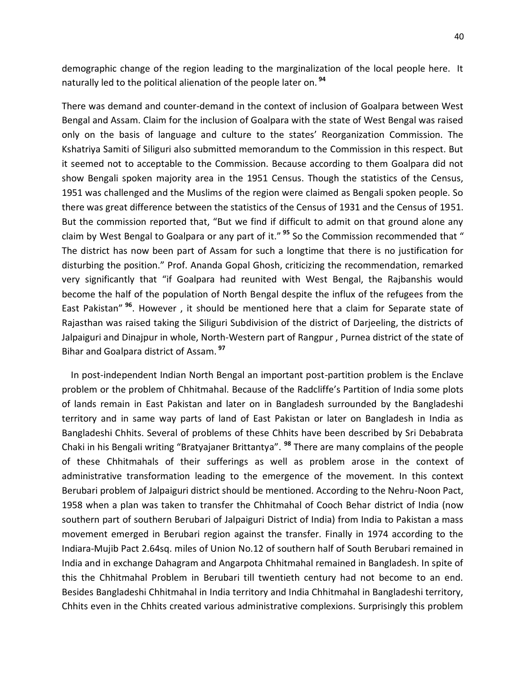demographic change of the region leading to the marginalization of the local people here. It naturally led to the political alienation of the people later on. **<sup>94</sup>**

There was demand and counter-demand in the context of inclusion of Goalpara between West Bengal and Assam. Claim for the inclusion of Goalpara with the state of West Bengal was raised only on the basis of language and culture to the states' Reorganization Commission. The Kshatriya Samiti of Siliguri also submitted memorandum to the Commission in this respect. But it seemed not to acceptable to the Commission. Because according to them Goalpara did not show Bengali spoken majority area in the 1951 Census. Though the statistics of the Census, 1951 was challenged and the Muslims of the region were claimed as Bengali spoken people. So there was great difference between the statistics of the Census of 1931 and the Census of 1951. But the commission reported that, "But we find if difficult to admit on that ground alone any claim by West Bengal to Goalpara or any part of it." **<sup>95</sup>** So the Commission recommended that " The district has now been part of Assam for such a longtime that there is no justification for disturbing the position." Prof. Ananda Gopal Ghosh, criticizing the recommendation, remarked very significantly that "if Goalpara had reunited with West Bengal, the Rajbanshis would become the half of the population of North Bengal despite the influx of the refugees from the East Pakistan" **<sup>96</sup>**. However , it should be mentioned here that a claim for Separate state of Rajasthan was raised taking the Siliguri Subdivision of the district of Darjeeling, the districts of Jalpaiguri and Dinajpur in whole, North-Western part of Rangpur , Purnea district of the state of Bihar and Goalpara district of Assam. **<sup>97</sup>**

 In post-independent Indian North Bengal an important post-partition problem is the Enclave problem or the problem of Chhitmahal. Because of the Radcliffe's Partition of India some plots of lands remain in East Pakistan and later on in Bangladesh surrounded by the Bangladeshi territory and in same way parts of land of East Pakistan or later on Bangladesh in India as Bangladeshi Chhits. Several of problems of these Chhits have been described by Sri Debabrata Chaki in his Bengali writing "Bratyajaner Brittantya". **<sup>98</sup>** There are many complains of the people of these Chhitmahals of their sufferings as well as problem arose in the context of administrative transformation leading to the emergence of the movement. In this context Berubari problem of Jalpaiguri district should be mentioned. According to the Nehru-Noon Pact, 1958 when a plan was taken to transfer the Chhitmahal of Cooch Behar district of India (now southern part of southern Berubari of Jalpaiguri District of India) from India to Pakistan a mass movement emerged in Berubari region against the transfer. Finally in 1974 according to the Indiara-Mujib Pact 2.64sq. miles of Union No.12 of southern half of South Berubari remained in India and in exchange Dahagram and Angarpota Chhitmahal remained in Bangladesh. In spite of this the Chhitmahal Problem in Berubari till twentieth century had not become to an end. Besides Bangladeshi Chhitmahal in India territory and India Chhitmahal in Bangladeshi territory, Chhits even in the Chhits created various administrative complexions. Surprisingly this problem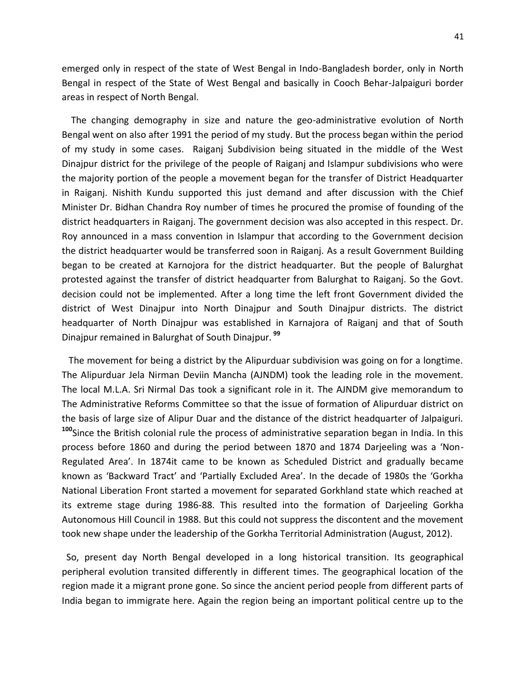emerged only in respect of the state of West Bengal in Indo-Bangladesh border, only in North Bengal in respect of the State of West Bengal and basically in Cooch Behar-Jalpaiguri border areas in respect of North Bengal.

 The changing demography in size and nature the geo-administrative evolution of North Bengal went on also after 1991 the period of my study. But the process began within the period of my study in some cases. Raiganj Subdivision being situated in the middle of the West Dinajpur district for the privilege of the people of Raiganj and Islampur subdivisions who were the majority portion of the people a movement began for the transfer of District Headquarter in Raiganj. Nishith Kundu supported this just demand and after discussion with the Chief Minister Dr. Bidhan Chandra Roy number of times he procured the promise of founding of the district headquarters in Raiganj. The government decision was also accepted in this respect. Dr. Roy announced in a mass convention in Islampur that according to the Government decision the district headquarter would be transferred soon in Raiganj. As a result Government Building began to be created at Karnojora for the district headquarter. But the people of Balurghat protested against the transfer of district headquarter from Balurghat to Raiganj. So the Govt. decision could not be implemented. After a long time the left front Government divided the district of West Dinajpur into North Dinajpur and South Dinajpur districts. The district headquarter of North Dinajpur was established in Karnajora of Raiganj and that of South Dinajpur remained in Balurghat of South Dinajpur. **<sup>99</sup>**

 The movement for being a district by the Alipurduar subdivision was going on for a longtime. The Alipurduar Jela Nirman Deviin Mancha (AJNDM) took the leading role in the movement. The local M.L.A. Sri Nirmal Das took a significant role in it. The AJNDM give memorandum to The Administrative Reforms Committee so that the issue of formation of Alipurduar district on the basis of large size of Alipur Duar and the distance of the district headquarter of Jalpaiguri. **<sup>100</sup>**Since the British colonial rule the process of administrative separation began in India. In this process before 1860 and during the period between 1870 and 1874 Darjeeling was a 'Non-Regulated Area'. In 1874it came to be known as Scheduled District and gradually became known as 'Backward Tract' and 'Partially Excluded Area'. In the decade of 1980s the 'Gorkha National Liberation Front started a movement for separated Gorkhland state which reached at its extreme stage during 1986-88. This resulted into the formation of Darjeeling Gorkha Autonomous Hill Council in 1988. But this could not suppress the discontent and the movement took new shape under the leadership of the Gorkha Territorial Administration (August, 2012).

 So, present day North Bengal developed in a long historical transition. Its geographical peripheral evolution transited differently in different times. The geographical location of the region made it a migrant prone gone. So since the ancient period people from different parts of India began to immigrate here. Again the region being an important political centre up to the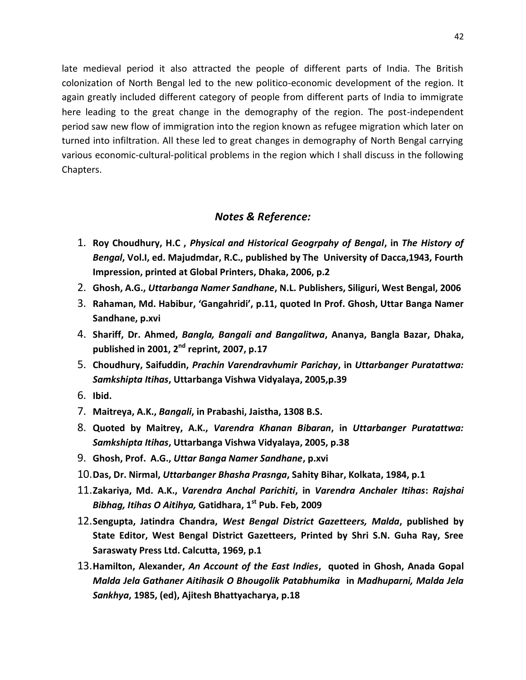late medieval period it also attracted the people of different parts of India. The British colonization of North Bengal led to the new politico-economic development of the region. It again greatly included different category of people from different parts of India to immigrate here leading to the great change in the demography of the region. The post-independent period saw new flow of immigration into the region known as refugee migration which later on turned into infiltration. All these led to great changes in demography of North Bengal carrying various economic-cultural-political problems in the region which I shall discuss in the following Chapters.

#### *Notes & Reference:*

- 1. **Roy Choudhury, H.C ,** *Physical and Historical Geogrpahy of Bengal***, in** *The History of Bengal***, Vol.I, ed. Majudmdar, R.C., published by The University of Dacca,1943, Fourth Impression, printed at Global Printers, Dhaka, 2006, p.2**
- 2. **Ghosh, A.G.,** *Uttarbanga Namer Sandhane***, N.L. Publishers, Siliguri, West Bengal, 2006**
- 3. **Rahaman, Md. Habibur, 'Gangahridi', p.11, quoted In Prof. Ghosh, Uttar Banga Namer Sandhane, p.xvi**
- 4. **Shariff, Dr. Ahmed,** *Bangla, Bangali and Bangalitwa***, Ananya, Bangla Bazar, Dhaka, published in 2001, 2 nd reprint, 2007, p.17**
- 5. **Choudhury, Saifuddin,** *Prachin Varendravhumir Parichay***, in** *Uttarbanger Puratattwa: Samkshipta Itihas***, Uttarbanga Vishwa Vidyalaya, 2005,p.39**
- 6. **Ibid.**
- 7. **Maitreya, A.K.,** *Bangali***, in Prabashi, Jaistha, 1308 B.S.**
- 8. **Quoted by Maitrey, A.K.,** *Varendra Khanan Bibaran***, in** *Uttarbanger Puratattwa: Samkshipta Itihas***, Uttarbanga Vishwa Vidyalaya, 2005, p.38**
- 9. **Ghosh, Prof. A.G.,** *Uttar Banga Namer Sandhane***, p.xvi**
- 10.**Das, Dr. Nirmal,** *Uttarbanger Bhasha Prasnga***, Sahity Bihar, Kolkata, 1984, p.1**
- 11.**Zakariya, Md. A.K.,** *Varendra Anchal Parichiti***, in** *Varendra Anchaler Itihas***:** *Rajshai Bibhag, Itihas O Aitihya,* **Gatidhara, 1st Pub. Feb, 2009**
- 12.**Sengupta, Jatindra Chandra,** *West Bengal District Gazetteers, Malda***, published by State Editor, West Bengal District Gazetteers, Printed by Shri S.N. Guha Ray, Sree Saraswaty Press Ltd. Calcutta, 1969, p.1**
- 13.**Hamilton, Alexander,** *An Account of the East Indies***, quoted in Ghosh, Anada Gopal**  *Malda Jela Gathaner Aitihasik O Bhougolik Patabhumika* **in** *Madhuparni, Malda Jela Sankhya***, 1985, (ed), Ajitesh Bhattyacharya, p.18**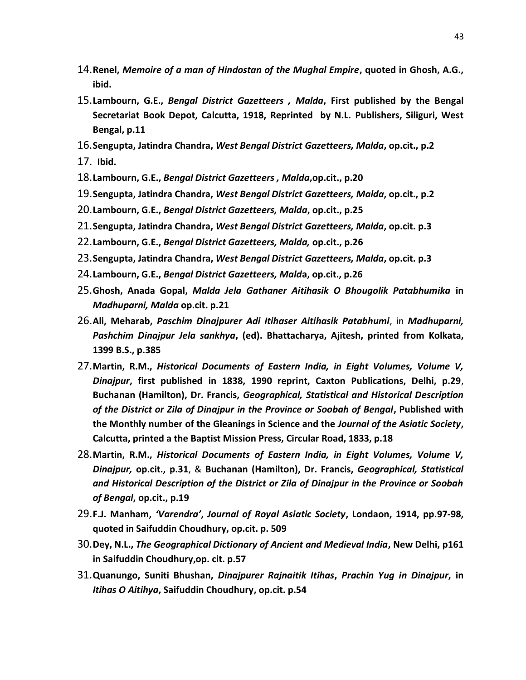- 14.**Renel,** *Memoire of a man of Hindostan of the Mughal Empire***, quoted in Ghosh, A.G., ibid.**
- 15.**Lambourn, G.E.,** *Bengal District Gazetteers , Malda***, First published by the Bengal Secretariat Book Depot, Calcutta, 1918, Reprinted by N.L. Publishers, Siliguri, West Bengal, p.11**
- 16.**Sengupta, Jatindra Chandra,** *West Bengal District Gazetteers, Malda***, op.cit., p.2**
- 17. **Ibid.**
- 18.**Lambourn, G.E.,** *Bengal District Gazetteers , Malda***,op.cit., p.20**
- 19.**Sengupta, Jatindra Chandra,** *West Bengal District Gazetteers, Malda***, op.cit., p.2**
- 20.**Lambourn, G.E.,** *Bengal District Gazetteers, Malda***, op.cit., p.25**
- 21.**Sengupta, Jatindra Chandra,** *West Bengal District Gazetteers, Malda***, op.cit. p.3**
- 22.**Lambourn, G.E.,** *Bengal District Gazetteers, Malda,* **op.cit., p.26**
- 23.**Sengupta, Jatindra Chandra,** *West Bengal District Gazetteers, Malda***, op.cit. p.3**
- 24.**Lambourn, G.E.,** *Bengal District Gazetteers, Mald***a, op.cit., p.26**
- 25.**Ghosh, Anada Gopal,** *Malda Jela Gathaner Aitihasik O Bhougolik Patabhumika* **in**  *Madhuparni, Malda* **op.cit. p.21**
- 26.**Ali, Meharab,** *Paschim Dinajpurer Adi Itihaser Aitihasik Patabhumi*, in *Madhuparni, Pashchim Dinajpur Jela sankhya***, (ed). Bhattacharya, Ajitesh, printed from Kolkata, 1399 B.S., p.385**
- 27.**Martin, R.M.,** *Historical Documents of Eastern India, in Eight Volumes, Volume V, Dinajpur***, first published in 1838, 1990 reprint, Caxton Publications, Delhi, p.29**, **Buchanan (Hamilton), Dr. Francis,** *Geographical, Statistical and Historical Description of the District or Zila of Dinajpur in the Province or Soobah of Bengal***, Published with the Monthly number of the Gleanings in Science and the** *Journal of the Asiatic Society***, Calcutta, printed a the Baptist Mission Press, Circular Road, 1833, p.18**
- 28.**Martin, R.M.,** *Historical Documents of Eastern India, in Eight Volumes, Volume V, Dinajpur,* **op.cit., p.31**, & **Buchanan (Hamilton), Dr. Francis,** *Geographical, Statistical and Historical Description of the District or Zila of Dinajpur in the Province or Soobah of Bengal***, op.cit., p.19**
- 29.**F.J. Manham,** *'Varendra'***,** *Journal of Royal Asiatic Society***, Londaon, 1914, pp.97-98, quoted in Saifuddin Choudhury, op.cit. p. 509**
- 30.**Dey, N.L.,** *The Geographical Dictionary of Ancient and Medieval India***, New Delhi, p161 in Saifuddin Choudhury,op. cit. p.57**
- 31.**Quanungo, Suniti Bhushan,** *Dinajpurer Rajnaitik Itihas***,** *Prachin Yug in Dinajpur***, in**  *Itihas O Aitihya***, Saifuddin Choudhury, op.cit. p.54**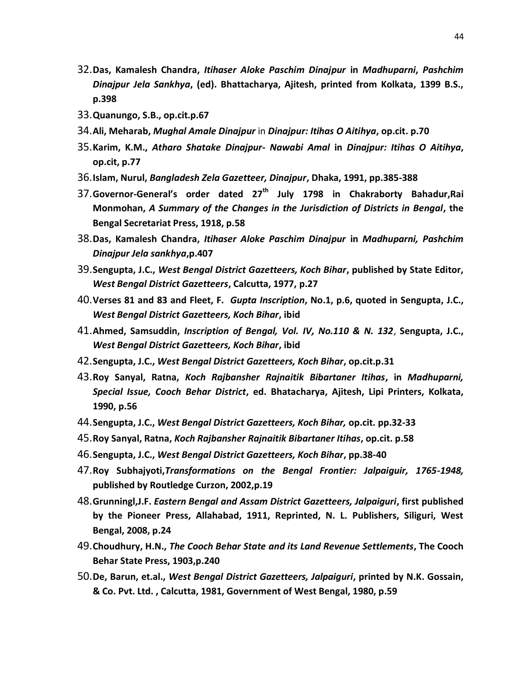- 32.**Das, Kamalesh Chandra,** *Itihaser Aloke Paschim Dinajpur* **in** *Madhuparni***,** *Pashchim Dinajpur Jela Sankhya***, (ed). Bhattacharya, Ajitesh, printed from Kolkata, 1399 B.S., p.398**
- 33.**Quanungo, S.B., op.cit.p.67**
- 34.**Ali, Meharab,** *Mughal Amale Dinajpur* in *Dinajpur: Itihas O Aitihya***, op.cit. p.70**
- 35.**Karim, K.M.,** *Atharo Shatake Dinajpur- Nawabi Amal* **in** *Dinajpur: Itihas O Aitihya***, op.cit, p.77**
- 36.**Islam, Nurul,** *Bangladesh Zela Gazetteer, Dinajpur***, Dhaka, 1991, pp.385-388**
- 37.**Governor-General's order dated 27th July 1798 in Chakraborty Bahadur,Rai Monmohan,** *A Summary of the Changes in the Jurisdiction of Districts in Bengal***, the Bengal Secretariat Press, 1918, p.58**
- 38.**Das, Kamalesh Chandra,** *Itihaser Aloke Paschim Dinajpur* **in** *Madhuparni, Pashchim Dinajpur Jela sankhya***,p.407**
- 39.**Sengupta, J.C.,** *West Bengal District Gazetteers, Koch Bihar***, published by State Editor,**  *West Bengal District Gazetteers***, Calcutta, 1977, p.27**
- 40.**Verses 81 and 83 and Fleet, F.** *Gupta Inscription***, No.1, p.6, quoted in Sengupta, J.C.,**  *West Bengal District Gazetteers, Koch Bihar***, ibid**
- 41.**Ahmed, Samsuddin,** *Inscription of Bengal, Vol. IV, No.110 & N. 132*, **Sengupta, J.C.,**  *West Bengal District Gazetteers, Koch Bihar***, ibid**
- 42.**Sengupta, J.C.,** *West Bengal District Gazetteers, Koch Bihar***, op.cit.p.31**
- 43.**Roy Sanyal, Ratna,** *Koch Rajbansher Rajnaitik Bibartaner Itihas***, in** *Madhuparni, Special Issue, Cooch Behar District***, ed. Bhatacharya, Ajitesh, Lipi Printers, Kolkata, 1990, p.56**
- 44.**Sengupta, J.C.,** *West Bengal District Gazetteers, Koch Bihar,* **op.cit. pp.32-33**
- 45.**Roy Sanyal, Ratna,** *Koch Rajbansher Rajnaitik Bibartaner Itihas***, op.cit. p.58**
- 46.**Sengupta, J.C.,** *West Bengal District Gazetteers, Koch Bihar***, pp.38-40**
- 47.**Roy Subhajyoti,***Transformations on the Bengal Frontier: Jalpaiguir, 1765-1948,* **published by Routledge Curzon, 2002,p.19**
- 48.**Grunningl,J.F.** *Eastern Bengal and Assam District Gazetteers, Jalpaiguri***, first published by the Pioneer Press, Allahabad, 1911, Reprinted, N. L. Publishers, Siliguri, West Bengal, 2008, p.24**
- 49.**Choudhury, H.N.,** *The Cooch Behar State and its Land Revenue Settlements***, The Cooch Behar State Press, 1903,p.240**
- 50.**De, Barun, et.al.,** *West Bengal District Gazetteers, Jalpaiguri***, printed by N.K. Gossain, & Co. Pvt. Ltd. , Calcutta, 1981, Government of West Bengal, 1980, p.59**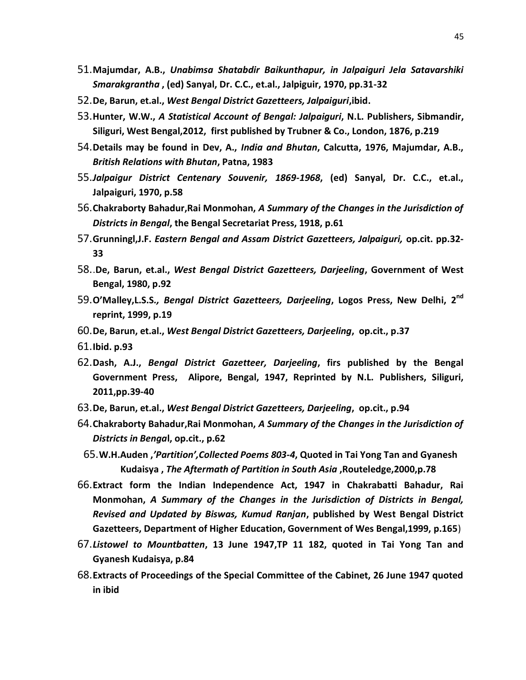- 51.**Majumdar, A.B.,** *Unabimsa Shatabdir Baikunthapur, in Jalpaiguri Jela Satavarshiki Smarakgrantha* **, (ed) Sanyal, Dr. C.C., et.al., Jalpiguir, 1970, pp.31-32**
- 52.**De, Barun, et.al.,** *West Bengal District Gazetteers, Jalpaiguri***,ibid.**
- 53.**Hunter, W.W.,** *A Statistical Account of Bengal: Jalpaiguri***, N.L. Publishers, Sibmandir, Siliguri, West Bengal,2012, first published by Trubner & Co., London, 1876, p.219**
- 54.**Details may be found in Dev, A.,** *India and Bhutan***, Calcutta, 1976, Majumdar, A.B.,**  *British Relations with Bhutan***, Patna, 1983**
- 55.*Jalpaigur District Centenary Souvenir, 1869-1968***, (ed) Sanyal, Dr. C.C., et.al., Jalpaiguri, 1970, p.58**
- 56.**Chakraborty Bahadur,Rai Monmohan,** *A Summary of the Changes in the Jurisdiction of Districts in Bengal***, the Bengal Secretariat Press, 1918, p.61**
- 57.**Grunningl,J.F.** *Eastern Bengal and Assam District Gazetteers, Jalpaiguri,* **op.cit. pp.32- 33**
- 58..**De, Barun, et.al.,** *West Bengal District Gazetteers, Darjeeling***, Government of West Bengal, 1980, p.92**
- 59.**O'Malley,L.S.S***., Bengal District Gazetteers, Darjeeling***, Logos Press, New Delhi, 2nd reprint, 1999, p.19**
- 60.**De, Barun, et.al.,** *West Bengal District Gazetteers, Darjeeling***, op.cit., p.37**
- 61.**Ibid. p.93**
- 62.**Dash, A.J.,** *Bengal District Gazetteer, Darjeeling***, firs published by the Bengal Government Press, Alipore, Bengal, 1947, Reprinted by N.L. Publishers, Siliguri, 2011,pp.39-40**
- 63.**De, Barun, et.al.,** *West Bengal District Gazetteers, Darjeeling***, op.cit., p.94**
- 64.**Chakraborty Bahadur,Rai Monmohan,** *A Summary of the Changes in the Jurisdiction of Districts in Benga***l, op.cit., p.62**
- 65.**W.H.Auden ,***'Partition',Collected Poems 803-4***, Quoted in Tai Yong Tan and Gyanesh Kudaisya ,** *The Aftermath of Partition in South Asia* **,Routeledge,2000,p.78**
- 66.**Extract form the Indian Independence Act, 1947 in Chakrabatti Bahadur, Rai Monmohan,** *A Summary of the Changes in the Jurisdiction of Districts in Bengal, Revised and Updated by Biswas, Kumud Ranjan***, published by West Bengal District Gazetteers, Department of Higher Education, Government of Wes Bengal,1999, p.165**)
- 67.*Listowel to Mountbatten***, 13 June 1947,TP 11 182, quoted in Tai Yong Tan and Gyanesh Kudaisya, p.84**
- 68.**Extracts of Proceedings of the Special Committee of the Cabinet, 26 June 1947 quoted in ibid**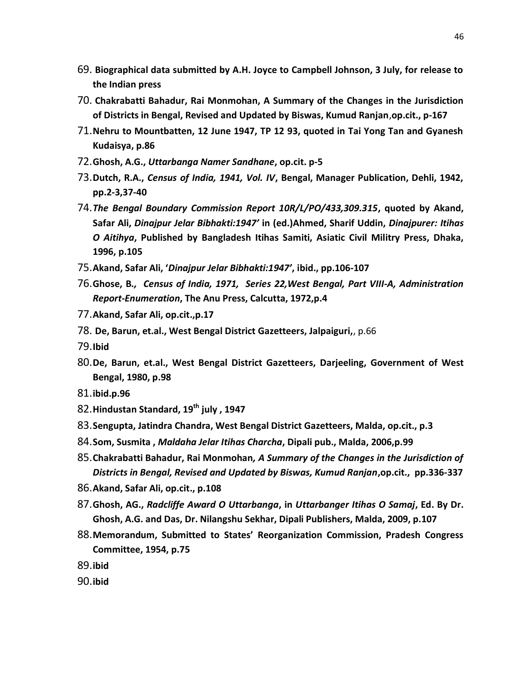- 69. **Biographical data submitted by A.H. Joyce to Campbell Johnson, 3 July, for release to the Indian press**
- 70. **Chakrabatti Bahadur, Rai Monmohan, A Summary of the Changes in the Jurisdiction of Districts in Bengal, Revised and Updated by Biswas, Kumud Ranjan**,**op.cit., p-167**
- 71.**Nehru to Mountbatten, 12 June 1947, TP 12 93, quoted in Tai Yong Tan and Gyanesh Kudaisya, p.86**
- 72.**Ghosh, A.G.,** *Uttarbanga Namer Sandhane***, op.cit. p-5**
- 73.**Dutch, R.A.,** *Census of India, 1941, Vol. IV***, Bengal, Manager Publication, Dehli, 1942, pp.2-3,37-40**
- 74.*The Bengal Boundary Commission Report 10R/L/PO/433,309.315***, quoted by Akand, Safar Ali,** *Dinajpur Jelar Bibhakti:1947'* **in (ed.)Ahmed, Sharif Uddin,** *Dinajpurer: Itihas O Aitihya***, Published by Bangladesh Itihas Samiti, Asiatic Civil Militry Press, Dhaka, 1996, p.105**
- 75.**Akand, Safar Ali, '***Dinajpur Jelar Bibhakti:1947'***, ibid., pp.106-107**
- 76.**Ghose, B***., Census of India, 1971, Series 22,West Bengal, Part VIII-A, Administration Report-Enumeration***, The Anu Press, Calcutta, 1972,p.4**
- 77.**Akand, Safar Ali, op.cit.,p.17**
- 78. **De, Barun, et.al., West Bengal District Gazetteers, Jalpaiguri,**, p.66
- 79.**Ibid**
- 80.**De, Barun, et.al., West Bengal District Gazetteers, Darjeeling, Government of West Bengal, 1980, p.98**
- 81.**ibid.p.96**
- 82.**Hindustan Standard, 19th july , 1947**
- 83.**Sengupta, Jatindra Chandra, West Bengal District Gazetteers, Malda, op.cit., p.3**
- 84.**Som, Susmita ,** *Maldaha Jelar Itihas Charcha***, Dipali pub., Malda, 2006,p.99**
- 85.**Chakrabatti Bahadur, Rai Monmohan***, A Summary of the Changes in the Jurisdiction of Districts in Bengal, Revised and Updated by Biswas, Kumud Ranjan***,op.cit., pp.336-337**
- 86.**Akand, Safar Ali, op.cit., p.108**
- 87.**Ghosh, AG.,** *Radcliffe Award O Uttarbanga***, in** *Uttarbanger Itihas O Samaj***, Ed. By Dr. Ghosh, A.G. and Das, Dr. Nilangshu Sekhar, Dipali Publishers, Malda, 2009, p.107**
- 88.**Memorandum, Submitted to States' Reorganization Commission, Pradesh Congress Committee, 1954, p.75**
- 89.**ibid**
- 90.**ibid**